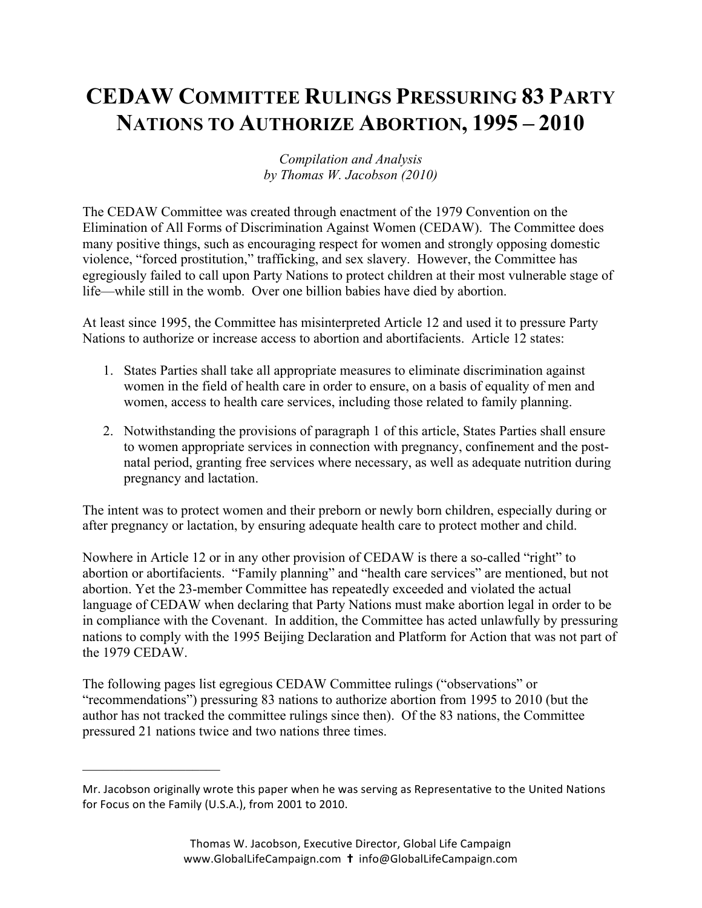## **CEDAW COMMITTEE RULINGS PRESSURING 83 PARTY NATIONS TO AUTHORIZE ABORTION, 1995 – 2010**

## *Compilation and Analysis by Thomas W. Jacobson (2010)*

The CEDAW Committee was created through enactment of the 1979 Convention on the Elimination of All Forms of Discrimination Against Women (CEDAW). The Committee does many positive things, such as encouraging respect for women and strongly opposing domestic violence, "forced prostitution," trafficking, and sex slavery. However, the Committee has egregiously failed to call upon Party Nations to protect children at their most vulnerable stage of life—while still in the womb. Over one billion babies have died by abortion.

At least since 1995, the Committee has misinterpreted Article 12 and used it to pressure Party Nations to authorize or increase access to abortion and abortifacients. Article 12 states:

- 1. States Parties shall take all appropriate measures to eliminate discrimination against women in the field of health care in order to ensure, on a basis of equality of men and women, access to health care services, including those related to family planning.
- 2. Notwithstanding the provisions of paragraph 1 of this article, States Parties shall ensure to women appropriate services in connection with pregnancy, confinement and the postnatal period, granting free services where necessary, as well as adequate nutrition during pregnancy and lactation.

The intent was to protect women and their preborn or newly born children, especially during or after pregnancy or lactation, by ensuring adequate health care to protect mother and child.

Nowhere in Article 12 or in any other provision of CEDAW is there a so-called "right" to abortion or abortifacients. "Family planning" and "health care services" are mentioned, but not abortion. Yet the 23-member Committee has repeatedly exceeded and violated the actual language of CEDAW when declaring that Party Nations must make abortion legal in order to be in compliance with the Covenant. In addition, the Committee has acted unlawfully by pressuring nations to comply with the 1995 Beijing Declaration and Platform for Action that was not part of the 1979 CEDAW.

The following pages list egregious CEDAW Committee rulings ("observations" or "recommendations") pressuring 83 nations to authorize abortion from 1995 to 2010 (but the author has not tracked the committee rulings since then). Of the 83 nations, the Committee pressured 21 nations twice and two nations three times.

 $\mathcal{L}_\text{max}$ 

Mr. Jacobson originally wrote this paper when he was serving as Representative to the United Nations for Focus on the Family (U.S.A.), from 2001 to 2010.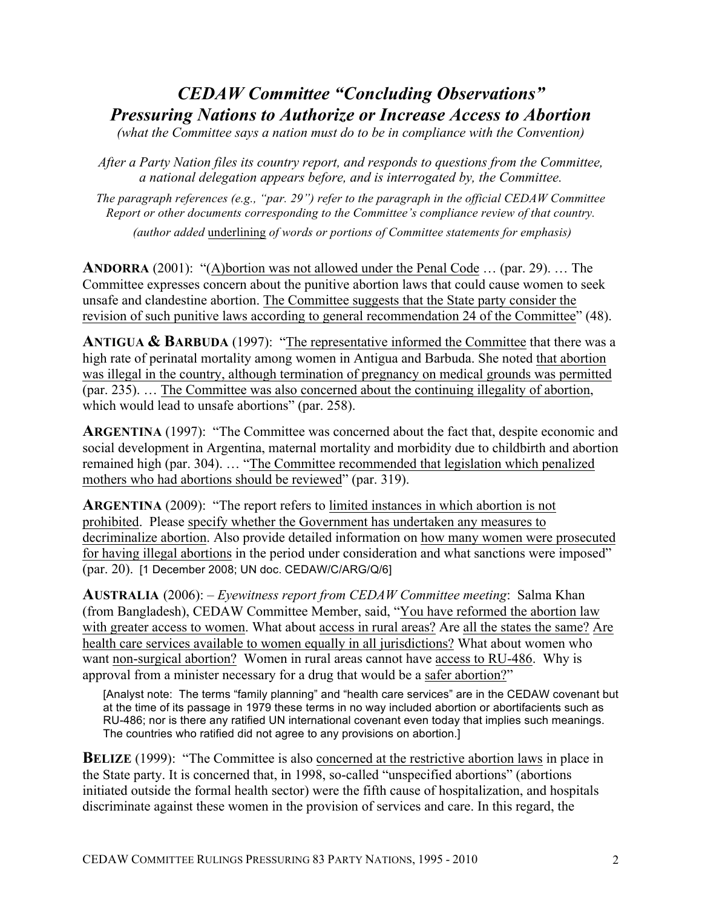## *CEDAW Committee "Concluding Observations" Pressuring Nations to Authorize or Increase Access to Abortion*

*(what the Committee says a nation must do to be in compliance with the Convention)*

*After a Party Nation files its country report, and responds to questions from the Committee, a national delegation appears before, and is interrogated by, the Committee.*

*The paragraph references (e.g., "par. 29") refer to the paragraph in the official CEDAW Committee Report or other documents corresponding to the Committee's compliance review of that country.*

*(author added* underlining *of words or portions of Committee statements for emphasis)*

**ANDORRA** (2001): "(A)bortion was not allowed under the Penal Code … (par. 29). … The Committee expresses concern about the punitive abortion laws that could cause women to seek unsafe and clandestine abortion. The Committee suggests that the State party consider the revision of such punitive laws according to general recommendation 24 of the Committee" (48).

**ANTIGUA & BARBUDA** (1997): "The representative informed the Committee that there was a high rate of perinatal mortality among women in Antigua and Barbuda. She noted that abortion was illegal in the country, although termination of pregnancy on medical grounds was permitted (par. 235). … The Committee was also concerned about the continuing illegality of abortion, which would lead to unsafe abortions" (par. 258).

**ARGENTINA** (1997): "The Committee was concerned about the fact that, despite economic and social development in Argentina, maternal mortality and morbidity due to childbirth and abortion remained high (par. 304). … "The Committee recommended that legislation which penalized mothers who had abortions should be reviewed" (par. 319).

**ARGENTINA** (2009): "The report refers to limited instances in which abortion is not prohibited. Please specify whether the Government has undertaken any measures to decriminalize abortion. Also provide detailed information on how many women were prosecuted for having illegal abortions in the period under consideration and what sanctions were imposed" (par. 20). [1 December 2008; UN doc. CEDAW/C/ARG/Q/6]

**AUSTRALIA** (2006): – *Eyewitness report from CEDAW Committee meeting*: Salma Khan (from Bangladesh), CEDAW Committee Member, said, "You have reformed the abortion law with greater access to women. What about access in rural areas? Are all the states the same? Are health care services available to women equally in all jurisdictions? What about women who want non-surgical abortion? Women in rural areas cannot have access to RU-486.Why is approval from a minister necessary for a drug that would be a safer abortion?"

[Analyst note: The terms "family planning" and "health care services" are in the CEDAW covenant but at the time of its passage in 1979 these terms in no way included abortion or abortifacients such as RU-486; nor is there any ratified UN international covenant even today that implies such meanings. The countries who ratified did not agree to any provisions on abortion.]

**BELIZE** (1999): "The Committee is also concerned at the restrictive abortion laws in place in the State party. It is concerned that, in 1998, so-called "unspecified abortions" (abortions initiated outside the formal health sector) were the fifth cause of hospitalization, and hospitals discriminate against these women in the provision of services and care. In this regard, the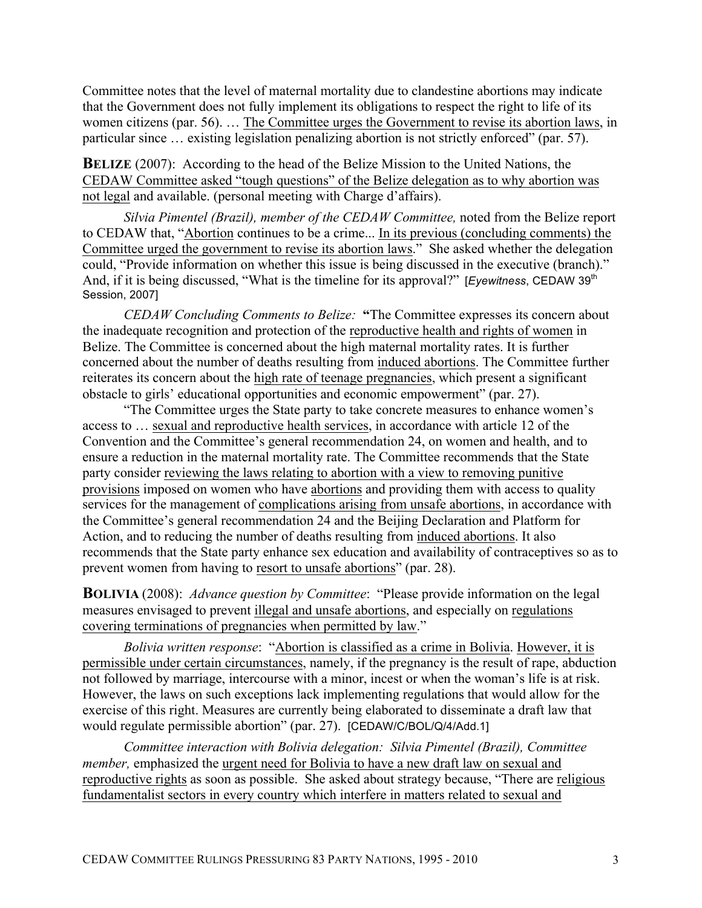Committee notes that the level of maternal mortality due to clandestine abortions may indicate that the Government does not fully implement its obligations to respect the right to life of its women citizens (par. 56). … The Committee urges the Government to revise its abortion laws, in particular since … existing legislation penalizing abortion is not strictly enforced" (par. 57).

**BELIZE** (2007): According to the head of the Belize Mission to the United Nations, the CEDAW Committee asked "tough questions" of the Belize delegation as to why abortion was not legal and available. (personal meeting with Charge d'affairs).

*Silvia Pimentel (Brazil), member of the CEDAW Committee,* noted from the Belize report to CEDAW that, "Abortion continues to be a crime... In its previous (concluding comments) the Committee urged the government to revise its abortion laws." She asked whether the delegation could, "Provide information on whether this issue is being discussed in the executive (branch)." And, if it is being discussed, "What is the timeline for its approval?" [*Eyewitness*, CEDAW 39<sup>th</sup> Session, 2007]

*CEDAW Concluding Comments to Belize:* **"**The Committee expresses its concern about the inadequate recognition and protection of the reproductive health and rights of women in Belize. The Committee is concerned about the high maternal mortality rates. It is further concerned about the number of deaths resulting from induced abortions. The Committee further reiterates its concern about the high rate of teenage pregnancies, which present a significant obstacle to girls' educational opportunities and economic empowerment" (par. 27).

"The Committee urges the State party to take concrete measures to enhance women's access to … sexual and reproductive health services, in accordance with article 12 of the Convention and the Committee's general recommendation 24, on women and health, and to ensure a reduction in the maternal mortality rate. The Committee recommends that the State party consider reviewing the laws relating to abortion with a view to removing punitive provisions imposed on women who have abortions and providing them with access to quality services for the management of complications arising from unsafe abortions, in accordance with the Committee's general recommendation 24 and the Beijing Declaration and Platform for Action, and to reducing the number of deaths resulting from induced abortions. It also recommends that the State party enhance sex education and availability of contraceptives so as to prevent women from having to resort to unsafe abortions" (par. 28).

**BOLIVIA** (2008): *Advance question by Committee*: "Please provide information on the legal measures envisaged to prevent illegal and unsafe abortions, and especially on regulations covering terminations of pregnancies when permitted by law."

*Bolivia written response*: "Abortion is classified as a crime in Bolivia. However, it is permissible under certain circumstances, namely, if the pregnancy is the result of rape, abduction not followed by marriage, intercourse with a minor, incest or when the woman's life is at risk. However, the laws on such exceptions lack implementing regulations that would allow for the exercise of this right. Measures are currently being elaborated to disseminate a draft law that would regulate permissible abortion" (par. 27). [CEDAW/C/BOL/Q/4/Add.1]

*Committee interaction with Bolivia delegation: Silvia Pimentel (Brazil), Committee member,* emphasized the urgent need for Bolivia to have a new draft law on sexual and reproductive rights as soon as possible. She asked about strategy because, "There are religious fundamentalist sectors in every country which interfere in matters related to sexual and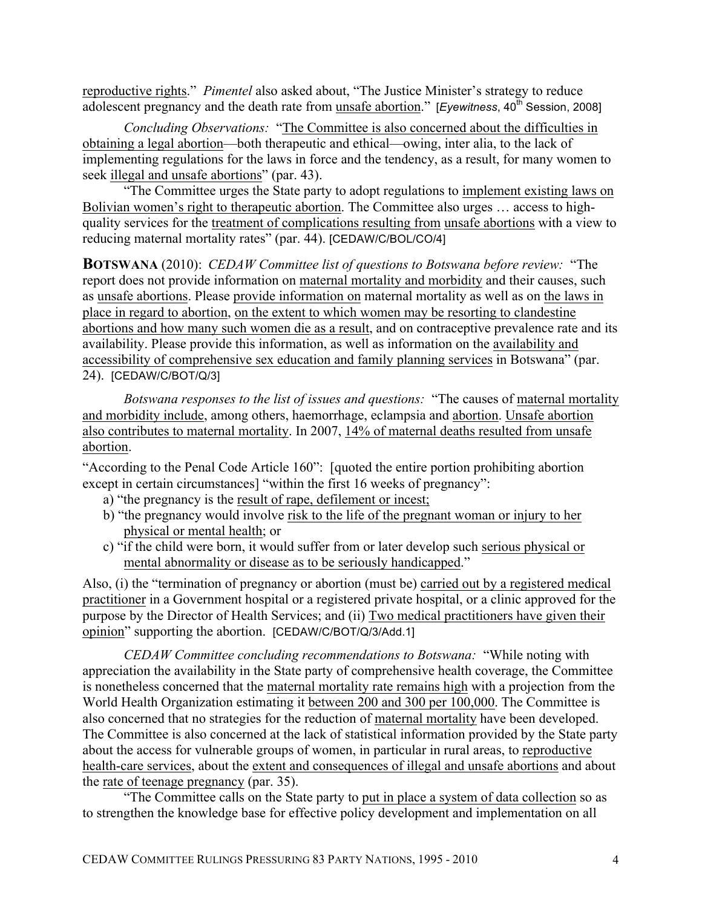reproductive rights." *Pimentel* also asked about, "The Justice Minister's strategy to reduce adolescent pregnancy and the death rate from unsafe abortion." [*Eyewitness*, 40<sup>th</sup> Session, 2008]

*Concluding Observations:* "The Committee is also concerned about the difficulties in obtaining a legal abortion—both therapeutic and ethical—owing, inter alia, to the lack of implementing regulations for the laws in force and the tendency, as a result, for many women to seek illegal and unsafe abortions" (par. 43).

"The Committee urges the State party to adopt regulations to implement existing laws on Bolivian women's right to therapeutic abortion. The Committee also urges … access to highquality services for the treatment of complications resulting from unsafe abortions with a view to reducing maternal mortality rates" (par. 44). [CEDAW/C/BOL/CO/4]

**BOTSWANA** (2010): *CEDAW Committee list of questions to Botswana before review:* "The report does not provide information on maternal mortality and morbidity and their causes, such as unsafe abortions. Please provide information on maternal mortality as well as on the laws in place in regard to abortion, on the extent to which women may be resorting to clandestine abortions and how many such women die as a result, and on contraceptive prevalence rate and its availability. Please provide this information, as well as information on the availability and accessibility of comprehensive sex education and family planning services in Botswana" (par. 24). [CEDAW/C/BOT/Q/3]

*Botswana responses to the list of issues and questions:* "The causes of maternal mortality and morbidity include, among others, haemorrhage, eclampsia and abortion. Unsafe abortion also contributes to maternal mortality. In 2007, 14% of maternal deaths resulted from unsafe abortion.

"According to the Penal Code Article 160": [quoted the entire portion prohibiting abortion except in certain circumstances] "within the first 16 weeks of pregnancy":

- a) "the pregnancy is the result of rape, defilement or incest;
- b) "the pregnancy would involve risk to the life of the pregnant woman or injury to her physical or mental health; or
- c) "if the child were born, it would suffer from or later develop such serious physical or mental abnormality or disease as to be seriously handicapped."

Also, (i) the "termination of pregnancy or abortion (must be) carried out by a registered medical practitioner in a Government hospital or a registered private hospital, or a clinic approved for the purpose by the Director of Health Services; and (ii) Two medical practitioners have given their opinion" supporting the abortion. [CEDAW/C/BOT/Q/3/Add.1]

*CEDAW Committee concluding recommendations to Botswana:* "While noting with appreciation the availability in the State party of comprehensive health coverage, the Committee is nonetheless concerned that the maternal mortality rate remains high with a projection from the World Health Organization estimating it between 200 and 300 per 100,000. The Committee is also concerned that no strategies for the reduction of maternal mortality have been developed. The Committee is also concerned at the lack of statistical information provided by the State party about the access for vulnerable groups of women, in particular in rural areas, to reproductive health-care services, about the extent and consequences of illegal and unsafe abortions and about the rate of teenage pregnancy (par. 35).

"The Committee calls on the State party to put in place a system of data collection so as to strengthen the knowledge base for effective policy development and implementation on all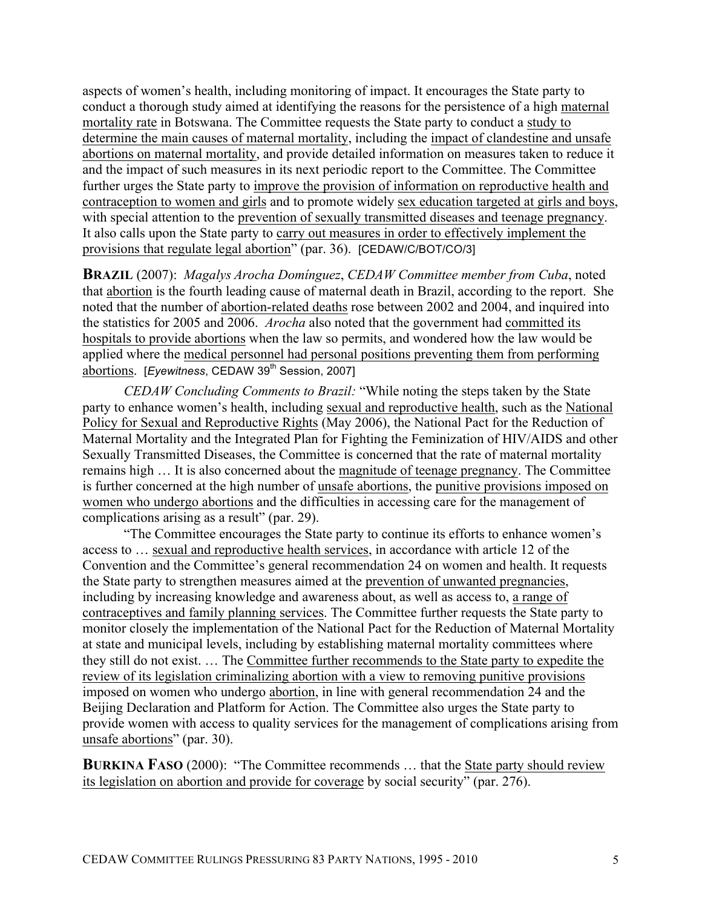aspects of women's health, including monitoring of impact. It encourages the State party to conduct a thorough study aimed at identifying the reasons for the persistence of a high maternal mortality rate in Botswana. The Committee requests the State party to conduct a study to determine the main causes of maternal mortality, including the impact of clandestine and unsafe abortions on maternal mortality, and provide detailed information on measures taken to reduce it and the impact of such measures in its next periodic report to the Committee. The Committee further urges the State party to improve the provision of information on reproductive health and contraception to women and girls and to promote widely sex education targeted at girls and boys, with special attention to the prevention of sexually transmitted diseases and teenage pregnancy. It also calls upon the State party to carry out measures in order to effectively implement the provisions that regulate legal abortion" (par. 36). [CEDAW/C/BOT/CO/3]

**BRAZIL** (2007): *Magalys Arocha Domínguez*, *CEDAW Committee member from Cuba*, noted that abortion is the fourth leading cause of maternal death in Brazil, according to the report. She noted that the number of abortion-related deaths rose between 2002 and 2004, and inquired into the statistics for 2005 and 2006. *Arocha* also noted that the government had committed its hospitals to provide abortions when the law so permits, and wondered how the law would be applied where the medical personnel had personal positions preventing them from performing abortions. [*Eyewitness*, CEDAW 39<sup>th</sup> Session, 2007]

*CEDAW Concluding Comments to Brazil:* "While noting the steps taken by the State party to enhance women's health, including sexual and reproductive health, such as the National Policy for Sexual and Reproductive Rights (May 2006), the National Pact for the Reduction of Maternal Mortality and the Integrated Plan for Fighting the Feminization of HIV/AIDS and other Sexually Transmitted Diseases, the Committee is concerned that the rate of maternal mortality remains high … It is also concerned about the magnitude of teenage pregnancy. The Committee is further concerned at the high number of unsafe abortions, the punitive provisions imposed on women who undergo abortions and the difficulties in accessing care for the management of complications arising as a result" (par. 29).

"The Committee encourages the State party to continue its efforts to enhance women's access to … sexual and reproductive health services, in accordance with article 12 of the Convention and the Committee's general recommendation 24 on women and health. It requests the State party to strengthen measures aimed at the prevention of unwanted pregnancies, including by increasing knowledge and awareness about, as well as access to, a range of contraceptives and family planning services. The Committee further requests the State party to monitor closely the implementation of the National Pact for the Reduction of Maternal Mortality at state and municipal levels, including by establishing maternal mortality committees where they still do not exist. … The Committee further recommends to the State party to expedite the review of its legislation criminalizing abortion with a view to removing punitive provisions imposed on women who undergo abortion, in line with general recommendation 24 and the Beijing Declaration and Platform for Action. The Committee also urges the State party to provide women with access to quality services for the management of complications arising from unsafe abortions" (par. 30).

**BURKINA FASO** (2000): "The Committee recommends ... that the State party should review its legislation on abortion and provide for coverage by social security" (par. 276).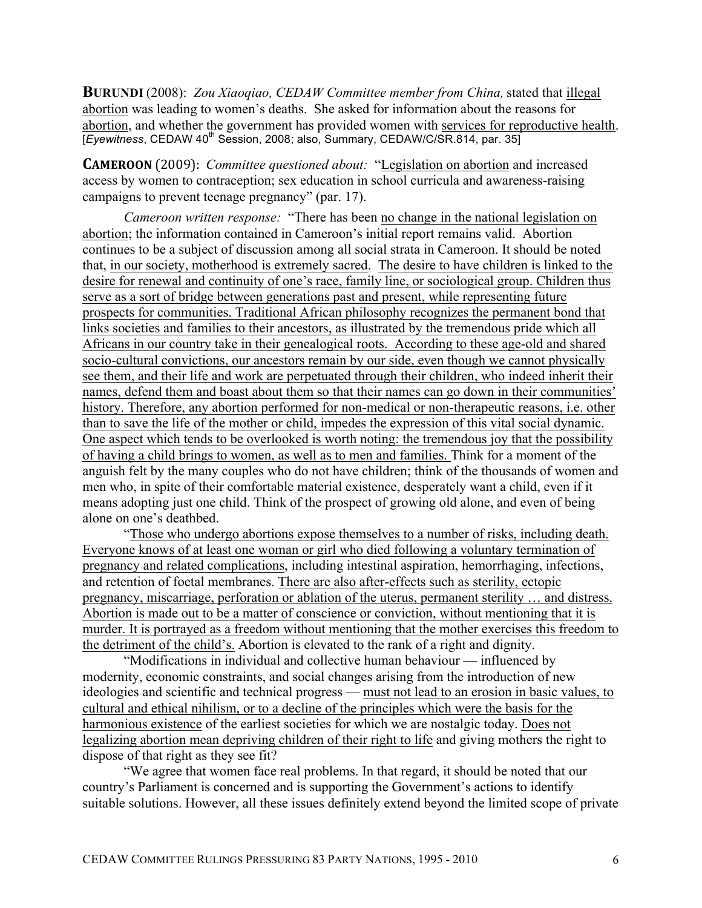**BURUNDI** (2008): *Zou Xiaoqiao, CEDAW Committee member from China,* stated that illegal abortion was leading to women's deaths. She asked for information about the reasons for abortion, and whether the government has provided women with services for reproductive health. [*Eyewitness*, CEDAW 40<sup>th</sup> Session, 2008; also, Summary, CEDAW/C/SR.814, par. 35]

**CAMEROON** (2009): *Committee questioned about:* "Legislation on abortion and increased access by women to contraception; sex education in school curricula and awareness-raising campaigns to prevent teenage pregnancy" (par. 17).

*Cameroon written response:* "There has been no change in the national legislation on abortion; the information contained in Cameroon's initial report remains valid. Abortion continues to be a subject of discussion among all social strata in Cameroon. It should be noted that, in our society, motherhood is extremely sacred. The desire to have children is linked to the desire for renewal and continuity of one's race, family line, or sociological group. Children thus serve as a sort of bridge between generations past and present, while representing future prospects for communities. Traditional African philosophy recognizes the permanent bond that links societies and families to their ancestors, as illustrated by the tremendous pride which all Africans in our country take in their genealogical roots. According to these age-old and shared socio-cultural convictions, our ancestors remain by our side, even though we cannot physically see them, and their life and work are perpetuated through their children, who indeed inherit their names, defend them and boast about them so that their names can go down in their communities' history. Therefore, any abortion performed for non-medical or non-therapeutic reasons, i.e. other than to save the life of the mother or child, impedes the expression of this vital social dynamic. One aspect which tends to be overlooked is worth noting: the tremendous joy that the possibility of having a child brings to women, as well as to men and families. Think for a moment of the anguish felt by the many couples who do not have children; think of the thousands of women and men who, in spite of their comfortable material existence, desperately want a child, even if it means adopting just one child. Think of the prospect of growing old alone, and even of being alone on one's deathbed.

"Those who undergo abortions expose themselves to a number of risks, including death. Everyone knows of at least one woman or girl who died following a voluntary termination of pregnancy and related complications, including intestinal aspiration, hemorrhaging, infections, and retention of foetal membranes. There are also after-effects such as sterility, ectopic pregnancy, miscarriage, perforation or ablation of the uterus, permanent sterility … and distress. Abortion is made out to be a matter of conscience or conviction, without mentioning that it is murder. It is portrayed as a freedom without mentioning that the mother exercises this freedom to the detriment of the child's. Abortion is elevated to the rank of a right and dignity.

"Modifications in individual and collective human behaviour — influenced by modernity, economic constraints, and social changes arising from the introduction of new ideologies and scientific and technical progress — must not lead to an erosion in basic values, to cultural and ethical nihilism, or to a decline of the principles which were the basis for the harmonious existence of the earliest societies for which we are nostalgic today. Does not legalizing abortion mean depriving children of their right to life and giving mothers the right to dispose of that right as they see fit?

"We agree that women face real problems. In that regard, it should be noted that our country's Parliament is concerned and is supporting the Government's actions to identify suitable solutions. However, all these issues definitely extend beyond the limited scope of private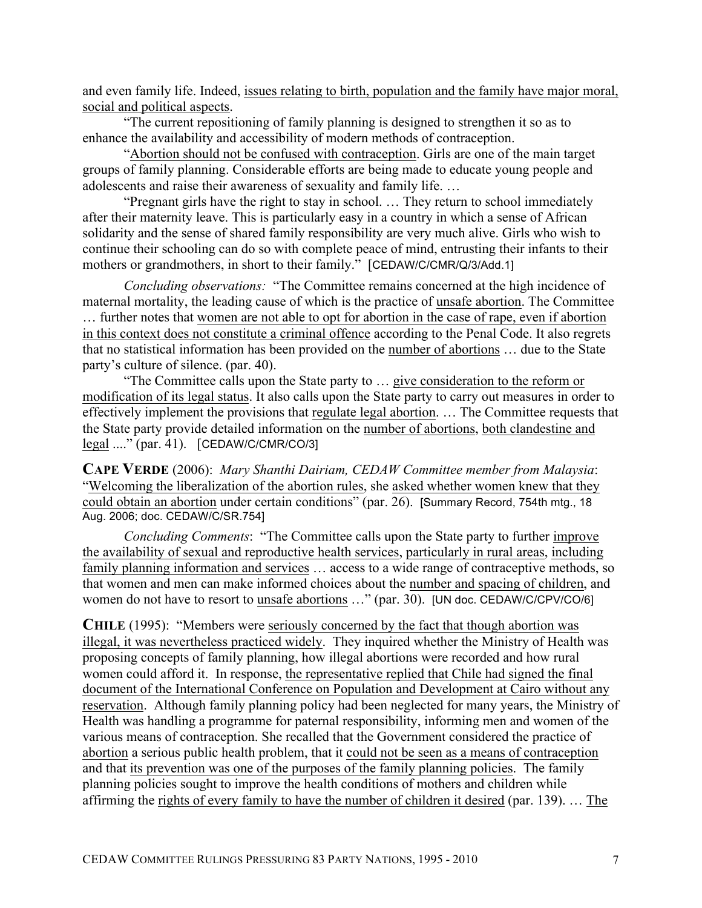and even family life. Indeed, issues relating to birth, population and the family have major moral, social and political aspects.

"The current repositioning of family planning is designed to strengthen it so as to enhance the availability and accessibility of modern methods of contraception.

"Abortion should not be confused with contraception. Girls are one of the main target groups of family planning. Considerable efforts are being made to educate young people and adolescents and raise their awareness of sexuality and family life. …

"Pregnant girls have the right to stay in school. … They return to school immediately after their maternity leave. This is particularly easy in a country in which a sense of African solidarity and the sense of shared family responsibility are very much alive. Girls who wish to continue their schooling can do so with complete peace of mind, entrusting their infants to their mothers or grandmothers, in short to their family." [CEDAW/C/CMR/Q/3/Add.1]

*Concluding observations:* "The Committee remains concerned at the high incidence of maternal mortality, the leading cause of which is the practice of unsafe abortion. The Committee … further notes that women are not able to opt for abortion in the case of rape, even if abortion in this context does not constitute a criminal offence according to the Penal Code. It also regrets that no statistical information has been provided on the number of abortions … due to the State party's culture of silence. (par. 40).

"The Committee calls upon the State party to … give consideration to the reform or modification of its legal status. It also calls upon the State party to carry out measures in order to effectively implement the provisions that regulate legal abortion. … The Committee requests that the State party provide detailed information on the number of abortions, both clandestine and legal ...." (par. 41).[CEDAW/C/CMR/CO/3]

**CAPE VERDE** (2006): *Mary Shanthi Dairiam, CEDAW Committee member from Malaysia*: "Welcoming the liberalization of the abortion rules, she asked whether women knew that they could obtain an abortion under certain conditions" (par. 26). [Summary Record, 754th mtg., 18 Aug. 2006; doc. CEDAW/C/SR.754]

*Concluding Comments*: "The Committee calls upon the State party to further improve the availability of sexual and reproductive health services, particularly in rural areas, including family planning information and services ... access to a wide range of contraceptive methods, so that women and men can make informed choices about the number and spacing of children, and women do not have to resort to unsafe abortions ..." (par. 30). [UN doc. CEDAW/C/CPV/CO/6]

**CHILE** (1995): "Members were seriously concerned by the fact that though abortion was illegal, it was nevertheless practiced widely. They inquired whether the Ministry of Health was proposing concepts of family planning, how illegal abortions were recorded and how rural women could afford it. In response, the representative replied that Chile had signed the final document of the International Conference on Population and Development at Cairo without any reservation. Although family planning policy had been neglected for many years, the Ministry of Health was handling a programme for paternal responsibility, informing men and women of the various means of contraception. She recalled that the Government considered the practice of abortion a serious public health problem, that it could not be seen as a means of contraception and that its prevention was one of the purposes of the family planning policies. The family planning policies sought to improve the health conditions of mothers and children while affirming the rights of every family to have the number of children it desired (par. 139). … The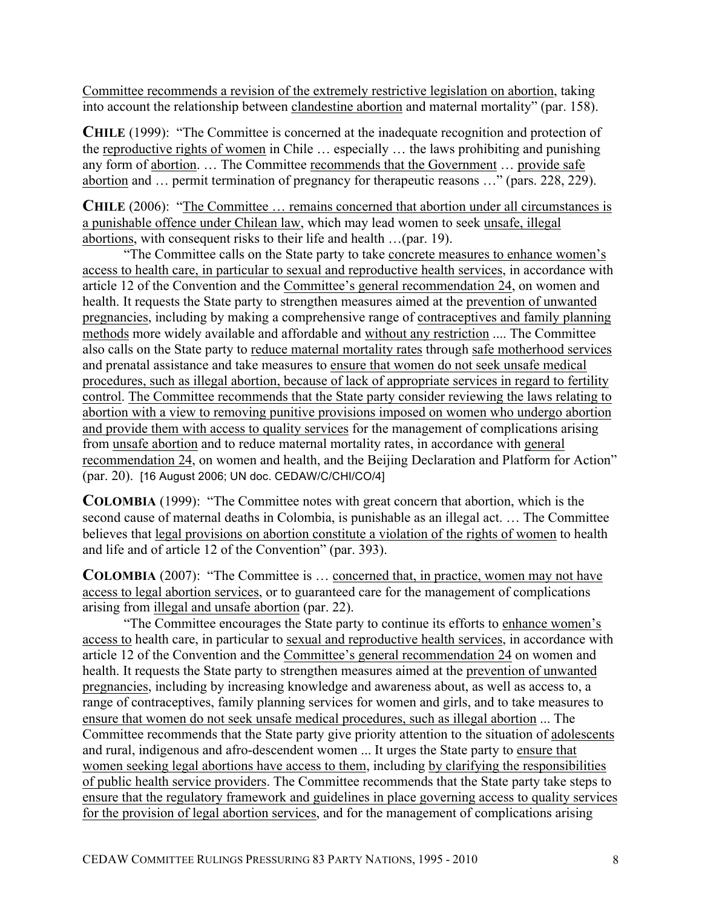Committee recommends a revision of the extremely restrictive legislation on abortion, taking into account the relationship between clandestine abortion and maternal mortality" (par. 158).

**CHILE** (1999): "The Committee is concerned at the inadequate recognition and protection of the reproductive rights of women in Chile … especially … the laws prohibiting and punishing any form of abortion. … The Committee recommends that the Government … provide safe abortion and … permit termination of pregnancy for therapeutic reasons …" (pars. 228, 229).

**CHILE** (2006): "The Committee … remains concerned that abortion under all circumstances is a punishable offence under Chilean law, which may lead women to seek unsafe, illegal abortions, with consequent risks to their life and health …(par. 19).

"The Committee calls on the State party to take concrete measures to enhance women's access to health care, in particular to sexual and reproductive health services, in accordance with article 12 of the Convention and the Committee's general recommendation 24, on women and health. It requests the State party to strengthen measures aimed at the prevention of unwanted pregnancies, including by making a comprehensive range of contraceptives and family planning methods more widely available and affordable and without any restriction .... The Committee also calls on the State party to reduce maternal mortality rates through safe motherhood services and prenatal assistance and take measures to ensure that women do not seek unsafe medical procedures, such as illegal abortion, because of lack of appropriate services in regard to fertility control. The Committee recommends that the State party consider reviewing the laws relating to abortion with a view to removing punitive provisions imposed on women who undergo abortion and provide them with access to quality services for the management of complications arising from unsafe abortion and to reduce maternal mortality rates, in accordance with general recommendation 24, on women and health, and the Beijing Declaration and Platform for Action" (par. 20). [16 August 2006; UN doc. CEDAW/C/CHI/CO/4]

**COLOMBIA** (1999): "The Committee notes with great concern that abortion, which is the second cause of maternal deaths in Colombia, is punishable as an illegal act. … The Committee believes that legal provisions on abortion constitute a violation of the rights of women to health and life and of article 12 of the Convention" (par. 393).

**COLOMBIA** (2007): "The Committee is … concerned that, in practice, women may not have access to legal abortion services, or to guaranteed care for the management of complications arising from illegal and unsafe abortion (par. 22).

"The Committee encourages the State party to continue its efforts to enhance women's access to health care, in particular to sexual and reproductive health services, in accordance with article 12 of the Convention and the Committee's general recommendation 24 on women and health. It requests the State party to strengthen measures aimed at the prevention of unwanted pregnancies, including by increasing knowledge and awareness about, as well as access to, a range of contraceptives, family planning services for women and girls, and to take measures to ensure that women do not seek unsafe medical procedures, such as illegal abortion ... The Committee recommends that the State party give priority attention to the situation of adolescents and rural, indigenous and afro-descendent women ... It urges the State party to ensure that women seeking legal abortions have access to them, including by clarifying the responsibilities of public health service providers. The Committee recommends that the State party take steps to ensure that the regulatory framework and guidelines in place governing access to quality services for the provision of legal abortion services, and for the management of complications arising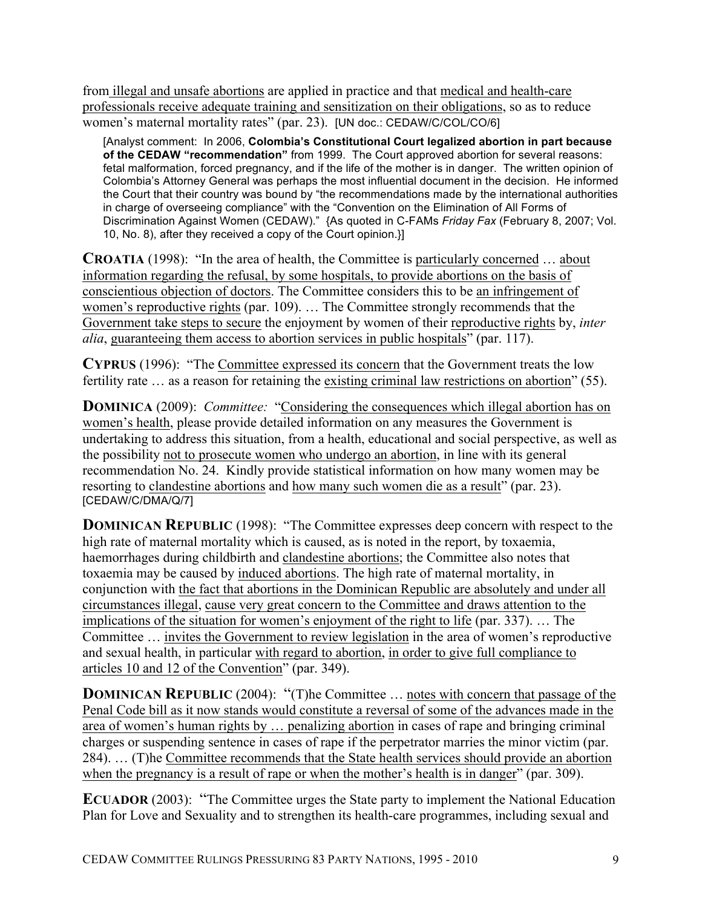from illegal and unsafe abortions are applied in practice and that medical and health-care professionals receive adequate training and sensitization on their obligations, so as to reduce women's maternal mortality rates" (par. 23). [UN doc.: CEDAW/C/COL/CO/6]

[Analyst comment: In 2006, **Colombia's Constitutional Court legalized abortion in part because of the CEDAW "recommendation"** from 1999. The Court approved abortion for several reasons: fetal malformation, forced pregnancy, and if the life of the mother is in danger. The written opinion of Colombia's Attorney General was perhaps the most influential document in the decision. He informed the Court that their country was bound by "the recommendations made by the international authorities in charge of overseeing compliance" with the "Convention on the Elimination of All Forms of Discrimination Against Women (CEDAW)." {As quoted in C-FAMs *Friday Fax* (February 8, 2007; Vol. 10, No. 8), after they received a copy of the Court opinion.}]

**CROATIA** (1998): "In the area of health, the Committee is particularly concerned ... about information regarding the refusal, by some hospitals, to provide abortions on the basis of conscientious objection of doctors. The Committee considers this to be an infringement of women's reproductive rights (par. 109). … The Committee strongly recommends that the Government take steps to secure the enjoyment by women of their reproductive rights by, *inter alia*, guaranteeing them access to abortion services in public hospitals" (par. 117).

**CYPRUS** (1996): "The Committee expressed its concern that the Government treats the low fertility rate ... as a reason for retaining the existing criminal law restrictions on abortion" (55).

**DOMINICA** (2009): *Committee:* "Considering the consequences which illegal abortion has on women's health, please provide detailed information on any measures the Government is undertaking to address this situation, from a health, educational and social perspective, as well as the possibility not to prosecute women who undergo an abortion, in line with its general recommendation No. 24. Kindly provide statistical information on how many women may be resorting to clandestine abortions and how many such women die as a result" (par. 23). [CEDAW/C/DMA/Q/7]

**DOMINICAN REPUBLIC** (1998): "The Committee expresses deep concern with respect to the high rate of maternal mortality which is caused, as is noted in the report, by toxaemia, haemorrhages during childbirth and clandestine abortions; the Committee also notes that toxaemia may be caused by induced abortions. The high rate of maternal mortality, in conjunction with the fact that abortions in the Dominican Republic are absolutely and under all circumstances illegal, cause very great concern to the Committee and draws attention to the implications of the situation for women's enjoyment of the right to life (par. 337). … The Committee … invites the Government to review legislation in the area of women's reproductive and sexual health, in particular with regard to abortion, in order to give full compliance to articles 10 and 12 of the Convention" (par. 349).

**DOMINICAN REPUBLIC** (2004): "(T)he Committee ... notes with concern that passage of the Penal Code bill as it now stands would constitute a reversal of some of the advances made in the area of women's human rights by … penalizing abortion in cases of rape and bringing criminal charges or suspending sentence in cases of rape if the perpetrator marries the minor victim (par. 284). … (T)he Committee recommends that the State health services should provide an abortion when the pregnancy is a result of rape or when the mother's health is in danger" (par. 309).

**ECUADOR** (2003): "The Committee urges the State party to implement the National Education Plan for Love and Sexuality and to strengthen its health-care programmes, including sexual and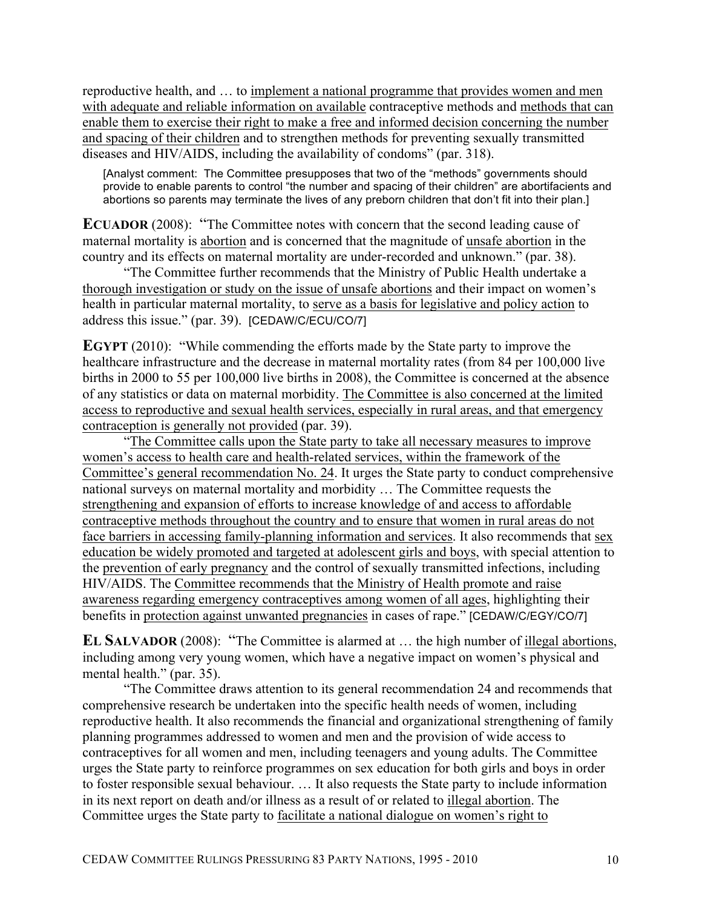reproductive health, and … to implement a national programme that provides women and men with adequate and reliable information on available contraceptive methods and methods that can enable them to exercise their right to make a free and informed decision concerning the number and spacing of their children and to strengthen methods for preventing sexually transmitted diseases and HIV/AIDS, including the availability of condoms" (par. 318).

[Analyst comment: The Committee presupposes that two of the "methods" governments should provide to enable parents to control "the number and spacing of their children" are abortifacients and abortions so parents may terminate the lives of any preborn children that don't fit into their plan.]

**ECUADOR** (2008): "The Committee notes with concern that the second leading cause of maternal mortality is abortion and is concerned that the magnitude of unsafe abortion in the country and its effects on maternal mortality are under-recorded and unknown." (par. 38).

"The Committee further recommends that the Ministry of Public Health undertake a thorough investigation or study on the issue of unsafe abortions and their impact on women's health in particular maternal mortality, to serve as a basis for legislative and policy action to address this issue." (par. 39). [CEDAW/C/ECU/CO/7]

**EGYPT** (2010): "While commending the efforts made by the State party to improve the healthcare infrastructure and the decrease in maternal mortality rates (from 84 per 100,000 live births in 2000 to 55 per 100,000 live births in 2008), the Committee is concerned at the absence of any statistics or data on maternal morbidity. The Committee is also concerned at the limited access to reproductive and sexual health services, especially in rural areas, and that emergency contraception is generally not provided (par. 39).

"The Committee calls upon the State party to take all necessary measures to improve women's access to health care and health-related services, within the framework of the Committee's general recommendation No. 24. It urges the State party to conduct comprehensive national surveys on maternal mortality and morbidity … The Committee requests the strengthening and expansion of efforts to increase knowledge of and access to affordable contraceptive methods throughout the country and to ensure that women in rural areas do not face barriers in accessing family-planning information and services. It also recommends that sex education be widely promoted and targeted at adolescent girls and boys, with special attention to the prevention of early pregnancy and the control of sexually transmitted infections, including HIV/AIDS. The Committee recommends that the Ministry of Health promote and raise awareness regarding emergency contraceptives among women of all ages, highlighting their benefits in protection against unwanted pregnancies in cases of rape." [CEDAW/C/EGY/CO/7]

**EL SALVADOR** (2008): "The Committee is alarmed at … the high number of illegal abortions, including among very young women, which have a negative impact on women's physical and mental health." (par. 35).

"The Committee draws attention to its general recommendation 24 and recommends that comprehensive research be undertaken into the specific health needs of women, including reproductive health. It also recommends the financial and organizational strengthening of family planning programmes addressed to women and men and the provision of wide access to contraceptives for all women and men, including teenagers and young adults. The Committee urges the State party to reinforce programmes on sex education for both girls and boys in order to foster responsible sexual behaviour. … It also requests the State party to include information in its next report on death and/or illness as a result of or related to illegal abortion. The Committee urges the State party to facilitate a national dialogue on women's right to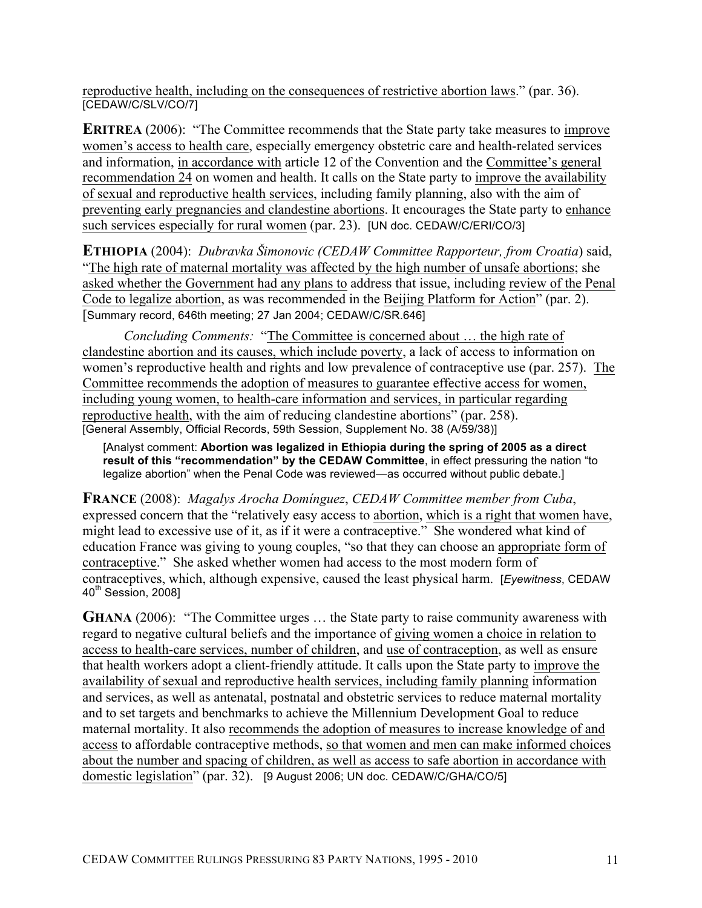reproductive health, including on the consequences of restrictive abortion laws." (par. 36). [CEDAW/C/SLV/CO/7]

**ERITREA** (2006): "The Committee recommends that the State party take measures to improve women's access to health care, especially emergency obstetric care and health-related services and information, in accordance with article 12 of the Convention and the Committee's general recommendation 24 on women and health. It calls on the State party to improve the availability of sexual and reproductive health services, including family planning, also with the aim of preventing early pregnancies and clandestine abortions. It encourages the State party to enhance such services especially for rural women (par. 23). [UN doc. CEDAW/C/ERI/CO/3]

**ETHIOPIA** (2004): *Dubravka Šimonovic (CEDAW Committee Rapporteur, from Croatia*) said, "The high rate of maternal mortality was affected by the high number of unsafe abortions; she asked whether the Government had any plans to address that issue, including review of the Penal Code to legalize abortion, as was recommended in the Beijing Platform for Action" (par. 2). [Summary record, 646th meeting; 27 Jan 2004; CEDAW/C/SR.646]

*Concluding Comments:* "The Committee is concerned about … the high rate of clandestine abortion and its causes, which include poverty, a lack of access to information on women's reproductive health and rights and low prevalence of contraceptive use (par. 257). The Committee recommends the adoption of measures to guarantee effective access for women, including young women, to health-care information and services, in particular regarding reproductive health, with the aim of reducing clandestine abortions" (par. 258). [General Assembly, Official Records, 59th Session, Supplement No. 38 (A/59/38)]

[Analyst comment: **Abortion was legalized in Ethiopia during the spring of 2005 as a direct result of this "recommendation" by the CEDAW Committee**, in effect pressuring the nation "to legalize abortion" when the Penal Code was reviewed—as occurred without public debate.]

**FRANCE** (2008): *Magalys Arocha Domínguez*, *CEDAW Committee member from Cuba*, expressed concern that the "relatively easy access to abortion, which is a right that women have, might lead to excessive use of it, as if it were a contraceptive." She wondered what kind of education France was giving to young couples, "so that they can choose an appropriate form of contraceptive." She asked whether women had access to the most modern form of contraceptives, which, although expensive, caused the least physical harm. [*Eyewitness*, CEDAW  $40<sup>th</sup>$  Session, 2008]

**GHANA** (2006): "The Committee urges ... the State party to raise community awareness with regard to negative cultural beliefs and the importance of giving women a choice in relation to access to health-care services, number of children, and use of contraception, as well as ensure that health workers adopt a client-friendly attitude. It calls upon the State party to improve the availability of sexual and reproductive health services, including family planning information and services, as well as antenatal, postnatal and obstetric services to reduce maternal mortality and to set targets and benchmarks to achieve the Millennium Development Goal to reduce maternal mortality. It also recommends the adoption of measures to increase knowledge of and access to affordable contraceptive methods, so that women and men can make informed choices about the number and spacing of children, as well as access to safe abortion in accordance with domestic legislation" (par. 32). [9 August 2006; UN doc. CEDAW/C/GHA/CO/5]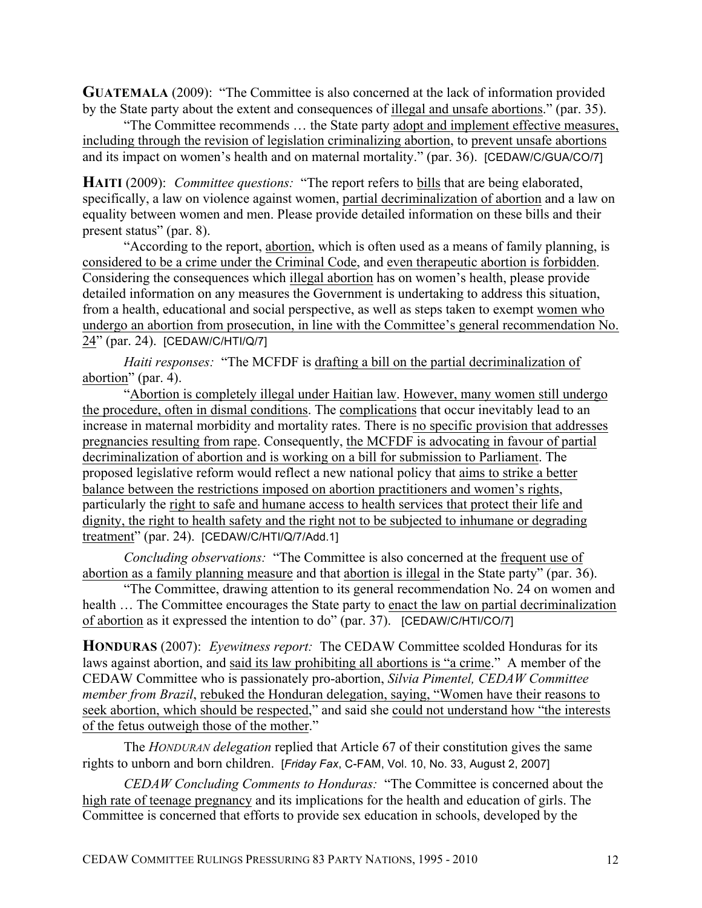**GUATEMALA** (2009):"The Committee is also concerned at the lack of information provided by the State party about the extent and consequences of illegal and unsafe abortions." (par. 35).

"The Committee recommends … the State party adopt and implement effective measures, including through the revision of legislation criminalizing abortion, to prevent unsafe abortions and its impact on women's health and on maternal mortality." (par. 36). [CEDAW/C/GUA/CO/7]

**HAITI** (2009):*Committee questions:*"The report refers to bills that are being elaborated, specifically, a law on violence against women, partial decriminalization of abortion and a law on equality between women and men. Please provide detailed information on these bills and their present status" (par. 8).

"According to the report, abortion, which is often used as a means of family planning, is considered to be a crime under the Criminal Code, and even therapeutic abortion is forbidden. Considering the consequences which illegal abortion has on women's health, please provide detailed information on any measures the Government is undertaking to address this situation, from a health, educational and social perspective, as well as steps taken to exempt women who undergo an abortion from prosecution, in line with the Committee's general recommendation No. 24" (par. 24). [CEDAW/C/HTI/Q/7]

*Haiti responses:* "The MCFDF is drafting a bill on the partial decriminalization of abortion" (par. 4).

"Abortion is completely illegal under Haitian law. However, many women still undergo the procedure, often in dismal conditions. The complications that occur inevitably lead to an increase in maternal morbidity and mortality rates. There is no specific provision that addresses pregnancies resulting from rape. Consequently, the MCFDF is advocating in favour of partial decriminalization of abortion and is working on a bill for submission to Parliament. The proposed legislative reform would reflect a new national policy that aims to strike a better balance between the restrictions imposed on abortion practitioners and women's rights, particularly the right to safe and humane access to health services that protect their life and dignity, the right to health safety and the right not to be subjected to inhumane or degrading treatment" (par. 24). [CEDAW/C/HTI/Q/7/Add.1]

*Concluding observations:* "The Committee is also concerned at the frequent use of abortion as a family planning measure and that abortion is illegal in the State party" (par. 36).

"The Committee, drawing attention to its general recommendation No. 24 on women and health ... The Committee encourages the State party to enact the law on partial decriminalization of abortion as it expressed the intention to do" (par. 37). [CEDAW/C/HTI/CO/7]

**HONDURAS** (2007):*Eyewitness report:* The CEDAW Committee scolded Honduras for its laws against abortion, and said its law prohibiting all abortions is "a crime." A member of the CEDAW Committee who is passionately pro-abortion, *Silvia Pimentel, CEDAW Committee member from Brazil*, rebuked the Honduran delegation, saying, "Women have their reasons to seek abortion, which should be respected," and said she could not understand how "the interests of the fetus outweigh those of the mother."

The *HONDURAN delegation* replied that Article 67 of their constitution gives the same rights to unborn and born children. [*Friday Fax*, C-FAM, Vol. 10, No. 33, August 2, 2007]

*CEDAW Concluding Comments to Honduras:* "The Committee is concerned about the high rate of teenage pregnancy and its implications for the health and education of girls. The Committee is concerned that efforts to provide sex education in schools, developed by the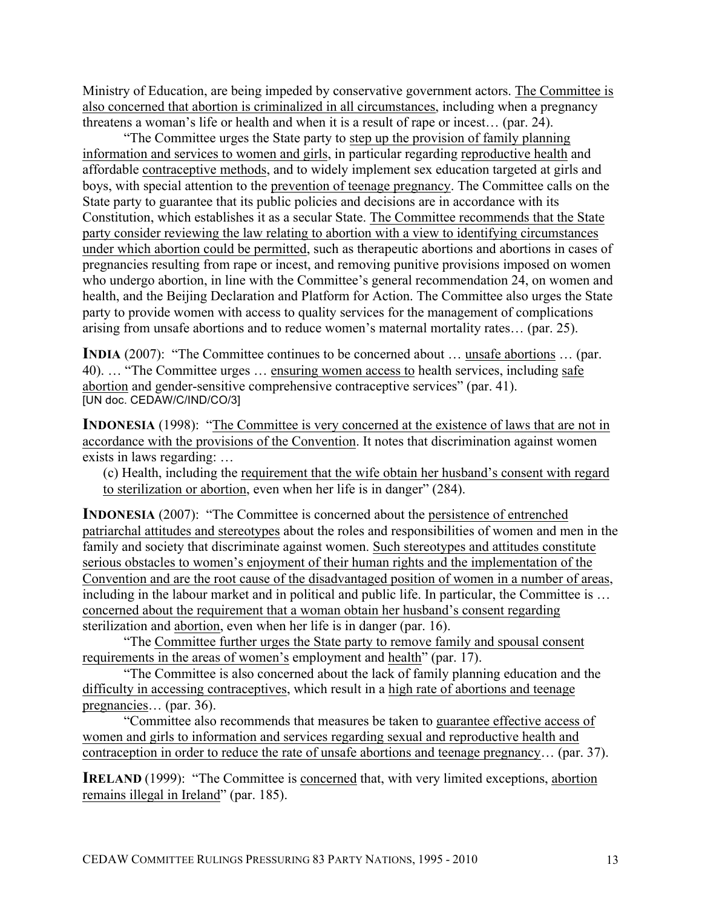Ministry of Education, are being impeded by conservative government actors. The Committee is also concerned that abortion is criminalized in all circumstances, including when a pregnancy threatens a woman's life or health and when it is a result of rape or incest… (par. 24).

"The Committee urges the State party to step up the provision of family planning information and services to women and girls, in particular regarding reproductive health and affordable contraceptive methods, and to widely implement sex education targeted at girls and boys, with special attention to the prevention of teenage pregnancy. The Committee calls on the State party to guarantee that its public policies and decisions are in accordance with its Constitution, which establishes it as a secular State. The Committee recommends that the State party consider reviewing the law relating to abortion with a view to identifying circumstances under which abortion could be permitted, such as therapeutic abortions and abortions in cases of pregnancies resulting from rape or incest, and removing punitive provisions imposed on women who undergo abortion, in line with the Committee's general recommendation 24, on women and health, and the Beijing Declaration and Platform for Action. The Committee also urges the State party to provide women with access to quality services for the management of complications arising from unsafe abortions and to reduce women's maternal mortality rates… (par. 25).

**INDIA** (2007): "The Committee continues to be concerned about ... unsafe abortions ... (par. 40). … "The Committee urges … ensuring women access to health services, including safe abortion and gender-sensitive comprehensive contraceptive services" (par. 41). [UN doc. CEDAW/C/IND/CO/3]

**INDONESIA** (1998): "The Committee is very concerned at the existence of laws that are not in accordance with the provisions of the Convention. It notes that discrimination against women exists in laws regarding: …

(c) Health, including the requirement that the wife obtain her husband's consent with regard to sterilization or abortion, even when her life is in danger" (284).

**INDONESIA** (2007): "The Committee is concerned about the persistence of entrenched patriarchal attitudes and stereotypes about the roles and responsibilities of women and men in the family and society that discriminate against women. Such stereotypes and attitudes constitute serious obstacles to women's enjoyment of their human rights and the implementation of the Convention and are the root cause of the disadvantaged position of women in a number of areas, including in the labour market and in political and public life. In particular, the Committee is … concerned about the requirement that a woman obtain her husband's consent regarding sterilization and abortion, even when her life is in danger (par. 16).

"The Committee further urges the State party to remove family and spousal consent requirements in the areas of women's employment and health" (par. 17).

"The Committee is also concerned about the lack of family planning education and the difficulty in accessing contraceptives, which result in a high rate of abortions and teenage pregnancies… (par. 36).

"Committee also recommends that measures be taken to guarantee effective access of women and girls to information and services regarding sexual and reproductive health and contraception in order to reduce the rate of unsafe abortions and teenage pregnancy… (par. 37).

**IRELAND** (1999): "The Committee is concerned that, with very limited exceptions, abortion remains illegal in Ireland" (par. 185).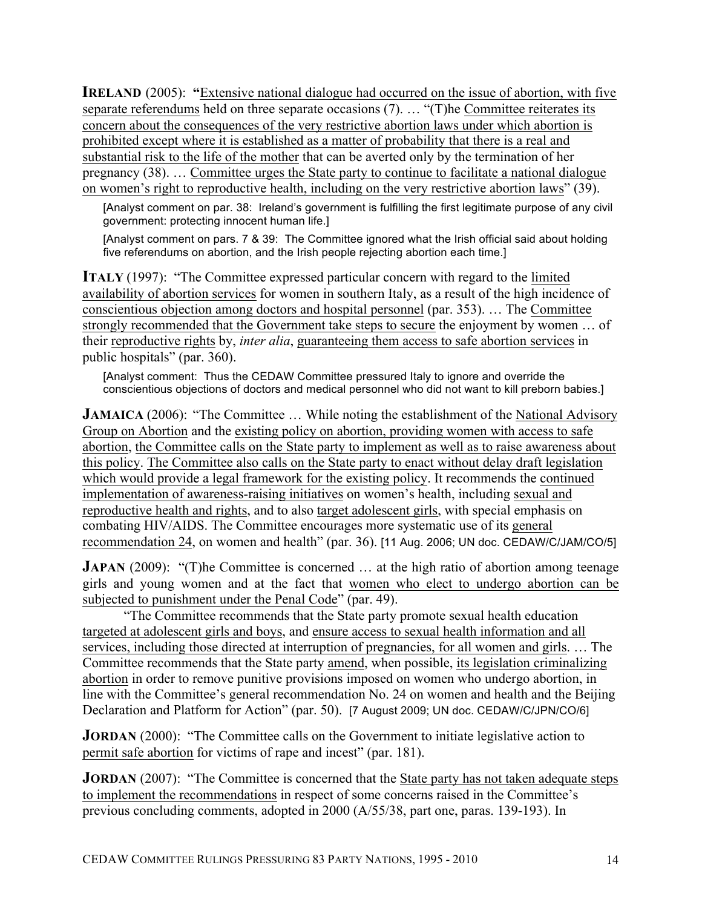**IRELAND** (2005): "Extensive national dialogue had occurred on the issue of abortion, with five separate referendums held on three separate occasions (7). … "(T)he Committee reiterates its concern about the consequences of the very restrictive abortion laws under which abortion is prohibited except where it is established as a matter of probability that there is a real and substantial risk to the life of the mother that can be averted only by the termination of her pregnancy (38). … Committee urges the State party to continue to facilitate a national dialogue on women's right to reproductive health, including on the very restrictive abortion laws" (39).

[Analyst comment on par. 38: Ireland's government is fulfilling the first legitimate purpose of any civil government: protecting innocent human life.]

[Analyst comment on pars. 7 & 39: The Committee ignored what the Irish official said about holding five referendums on abortion, and the Irish people rejecting abortion each time.]

**ITALY** (1997): "The Committee expressed particular concern with regard to the limited availability of abortion services for women in southern Italy, as a result of the high incidence of conscientious objection among doctors and hospital personnel (par. 353). … The Committee strongly recommended that the Government take steps to secure the enjoyment by women … of their reproductive rights by, *inter alia*, guaranteeing them access to safe abortion services in public hospitals" (par. 360).

[Analyst comment: Thus the CEDAW Committee pressured Italy to ignore and override the conscientious objections of doctors and medical personnel who did not want to kill preborn babies.]

**JAMAICA** (2006): "The Committee ... While noting the establishment of the National Advisory Group on Abortion and the existing policy on abortion, providing women with access to safe abortion, the Committee calls on the State party to implement as well as to raise awareness about this policy. The Committee also calls on the State party to enact without delay draft legislation which would provide a legal framework for the existing policy. It recommends the continued implementation of awareness-raising initiatives on women's health, including sexual and reproductive health and rights, and to also target adolescent girls, with special emphasis on combating HIV/AIDS. The Committee encourages more systematic use of its general recommendation 24, on women and health" (par. 36). [11 Aug. 2006; UN doc. CEDAW/C/JAM/CO/5]

**JAPAN** (2009): "(T)he Committee is concerned ... at the high ratio of abortion among teenage girls and young women and at the fact that women who elect to undergo abortion can be subjected to punishment under the Penal Code" (par. 49).

"The Committee recommends that the State party promote sexual health education targeted at adolescent girls and boys, and ensure access to sexual health information and all services, including those directed at interruption of pregnancies, for all women and girls. … The Committee recommends that the State party amend, when possible, its legislation criminalizing abortion in order to remove punitive provisions imposed on women who undergo abortion, in line with the Committee's general recommendation No. 24 on women and health and the Beijing Declaration and Platform for Action" (par. 50). [7 August 2009; UN doc. CEDAW/C/JPN/CO/6]

**JORDAN** (2000): "The Committee calls on the Government to initiate legislative action to permit safe abortion for victims of rape and incest" (par. 181).

**JORDAN** (2007): "The Committee is concerned that the State party has not taken adequate steps to implement the recommendations in respect of some concerns raised in the Committee's previous concluding comments, adopted in 2000 (A/55/38, part one, paras. 139-193). In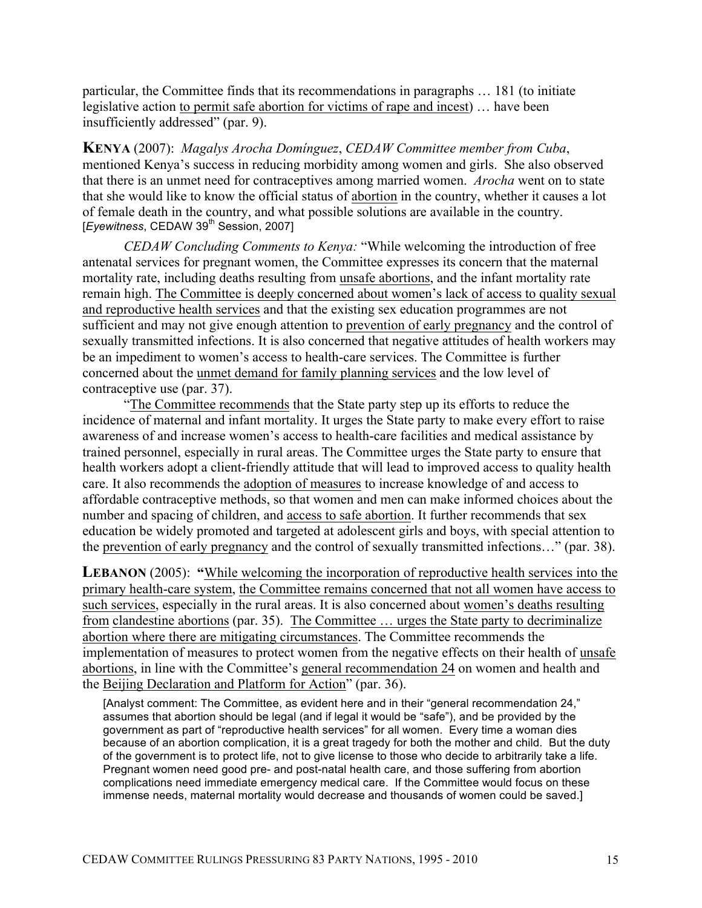particular, the Committee finds that its recommendations in paragraphs … 181 (to initiate legislative action to permit safe abortion for victims of rape and incest) … have been insufficiently addressed" (par. 9).

**KENYA** (2007): *Magalys Arocha Domínguez*, *CEDAW Committee member from Cuba*, mentioned Kenya's success in reducing morbidity among women and girls. She also observed that there is an unmet need for contraceptives among married women. *Arocha* went on to state that she would like to know the official status of abortion in the country, whether it causes a lot of female death in the country, and what possible solutions are available in the country. [*Eyewitness*, CEDAW 39<sup>th</sup> Session, 2007]

*CEDAW Concluding Comments to Kenya:* "While welcoming the introduction of free antenatal services for pregnant women, the Committee expresses its concern that the maternal mortality rate, including deaths resulting from unsafe abortions, and the infant mortality rate remain high. The Committee is deeply concerned about women's lack of access to quality sexual and reproductive health services and that the existing sex education programmes are not sufficient and may not give enough attention to prevention of early pregnancy and the control of sexually transmitted infections. It is also concerned that negative attitudes of health workers may be an impediment to women's access to health-care services. The Committee is further concerned about the unmet demand for family planning services and the low level of contraceptive use (par. 37).

"The Committee recommends that the State party step up its efforts to reduce the incidence of maternal and infant mortality. It urges the State party to make every effort to raise awareness of and increase women's access to health-care facilities and medical assistance by trained personnel, especially in rural areas. The Committee urges the State party to ensure that health workers adopt a client-friendly attitude that will lead to improved access to quality health care. It also recommends the adoption of measures to increase knowledge of and access to affordable contraceptive methods, so that women and men can make informed choices about the number and spacing of children, and access to safe abortion. It further recommends that sex education be widely promoted and targeted at adolescent girls and boys, with special attention to the prevention of early pregnancy and the control of sexually transmitted infections…" (par. 38).

**LEBANON** (2005): **"**While welcoming the incorporation of reproductive health services into the primary health-care system, the Committee remains concerned that not all women have access to such services, especially in the rural areas. It is also concerned about women's deaths resulting from clandestine abortions (par. 35). The Committee … urges the State party to decriminalize abortion where there are mitigating circumstances. The Committee recommends the implementation of measures to protect women from the negative effects on their health of unsafe abortions, in line with the Committee's general recommendation 24 on women and health and the Beijing Declaration and Platform for Action" (par. 36).

[Analyst comment: The Committee, as evident here and in their "general recommendation 24," assumes that abortion should be legal (and if legal it would be "safe"), and be provided by the government as part of "reproductive health services" for all women. Every time a woman dies because of an abortion complication, it is a great tragedy for both the mother and child. But the duty of the government is to protect life, not to give license to those who decide to arbitrarily take a life. Pregnant women need good pre- and post-natal health care, and those suffering from abortion complications need immediate emergency medical care. If the Committee would focus on these immense needs, maternal mortality would decrease and thousands of women could be saved.]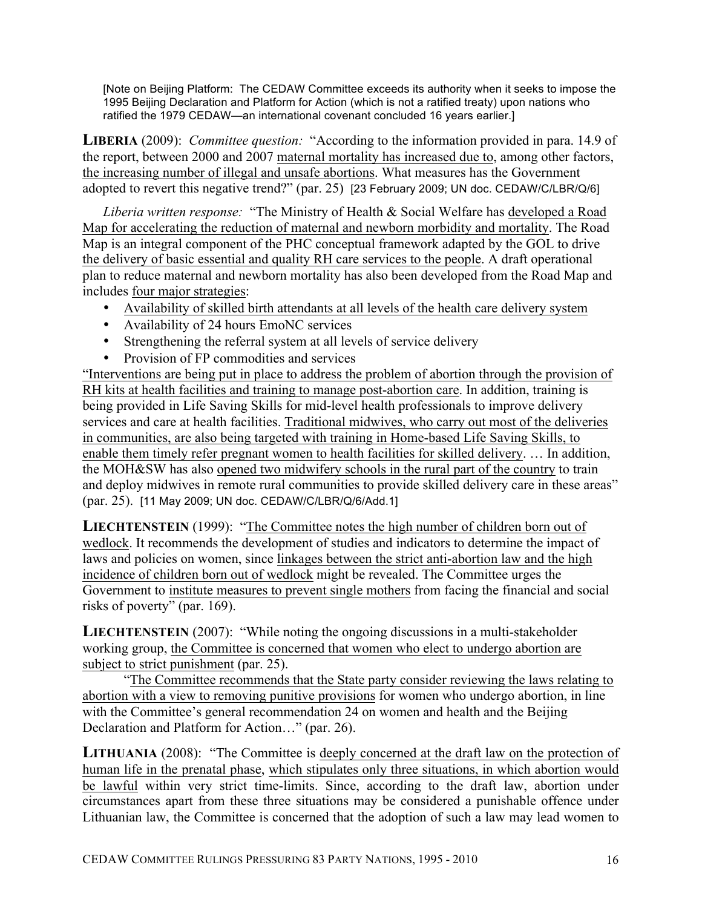[Note on Beijing Platform: The CEDAW Committee exceeds its authority when it seeks to impose the 1995 Beijing Declaration and Platform for Action (which is not a ratified treaty) upon nations who ratified the 1979 CEDAW—an international covenant concluded 16 years earlier.]

**LIBERIA** (2009): *Committee question:* "According to the information provided in para. 14.9 of the report, between 2000 and 2007 maternal mortality has increased due to, among other factors, the increasing number of illegal and unsafe abortions. What measures has the Government adopted to revert this negative trend?" (par. 25) [23 February 2009; UN doc. CEDAW/C/LBR/Q/6]

*Liberia written response:* "The Ministry of Health & Social Welfare has developed a Road Map for accelerating the reduction of maternal and newborn morbidity and mortality. The Road Map is an integral component of the PHC conceptual framework adapted by the GOL to drive the delivery of basic essential and quality RH care services to the people. A draft operational plan to reduce maternal and newborn mortality has also been developed from the Road Map and includes four major strategies:

- Availability of skilled birth attendants at all levels of the health care delivery system
- Availability of 24 hours EmoNC services
- Strengthening the referral system at all levels of service delivery
- Provision of FP commodities and services

"Interventions are being put in place to address the problem of abortion through the provision of RH kits at health facilities and training to manage post-abortion care. In addition, training is being provided in Life Saving Skills for mid-level health professionals to improve delivery services and care at health facilities. Traditional midwives, who carry out most of the deliveries in communities, are also being targeted with training in Home-based Life Saving Skills, to enable them timely refer pregnant women to health facilities for skilled delivery. … In addition, the MOH&SW has also opened two midwifery schools in the rural part of the country to train and deploy midwives in remote rural communities to provide skilled delivery care in these areas" (par. 25). [11 May 2009; UN doc. CEDAW/C/LBR/Q/6/Add.1]

**LIECHTENSTEIN** (1999): "The Committee notes the high number of children born out of wedlock. It recommends the development of studies and indicators to determine the impact of laws and policies on women, since linkages between the strict anti-abortion law and the high incidence of children born out of wedlock might be revealed. The Committee urges the Government to institute measures to prevent single mothers from facing the financial and social risks of poverty" (par. 169).

**LIECHTENSTEIN** (2007): "While noting the ongoing discussions in a multi-stakeholder working group, the Committee is concerned that women who elect to undergo abortion are subject to strict punishment (par. 25).

"The Committee recommends that the State party consider reviewing the laws relating to abortion with a view to removing punitive provisions for women who undergo abortion, in line with the Committee's general recommendation 24 on women and health and the Beijing Declaration and Platform for Action…" (par. 26).

**LITHUANIA** (2008): "The Committee is deeply concerned at the draft law on the protection of human life in the prenatal phase, which stipulates only three situations, in which abortion would be lawful within very strict time-limits. Since, according to the draft law, abortion under circumstances apart from these three situations may be considered a punishable offence under Lithuanian law, the Committee is concerned that the adoption of such a law may lead women to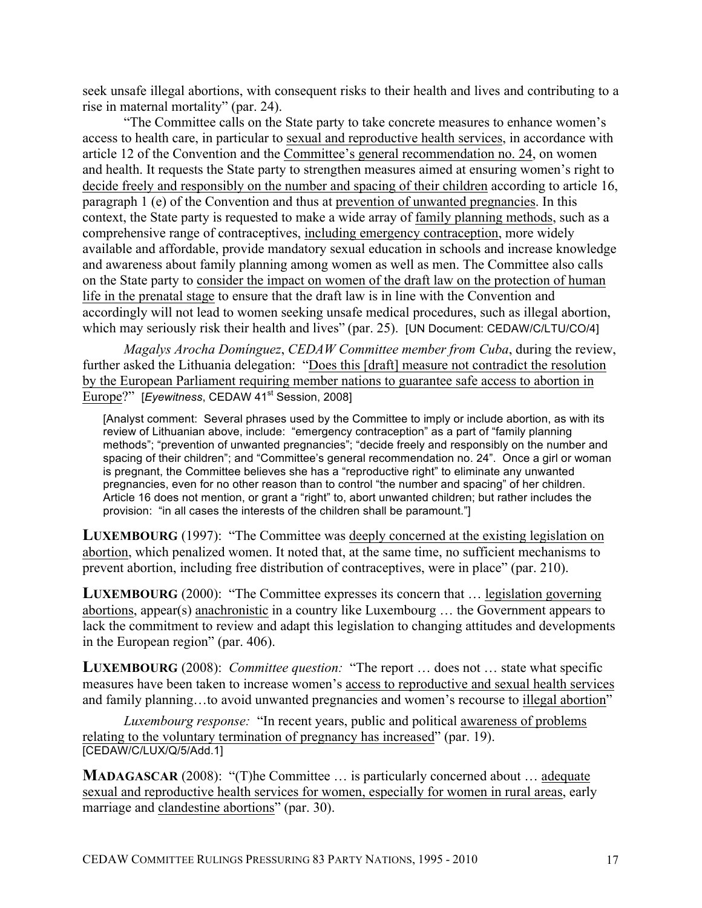seek unsafe illegal abortions, with consequent risks to their health and lives and contributing to a rise in maternal mortality" (par. 24).

"The Committee calls on the State party to take concrete measures to enhance women's access to health care, in particular to sexual and reproductive health services, in accordance with article 12 of the Convention and the Committee's general recommendation no. 24, on women and health. It requests the State party to strengthen measures aimed at ensuring women's right to decide freely and responsibly on the number and spacing of their children according to article 16, paragraph 1 (e) of the Convention and thus at prevention of unwanted pregnancies. In this context, the State party is requested to make a wide array of family planning methods, such as a comprehensive range of contraceptives, including emergency contraception, more widely available and affordable, provide mandatory sexual education in schools and increase knowledge and awareness about family planning among women as well as men. The Committee also calls on the State party to consider the impact on women of the draft law on the protection of human life in the prenatal stage to ensure that the draft law is in line with the Convention and accordingly will not lead to women seeking unsafe medical procedures, such as illegal abortion, which may seriously risk their health and lives" (par. 25). [UN Document: CEDAW/C/LTU/CO/4]

*Magalys Arocha Domínguez*, *CEDAW Committee member from Cuba*, during the review, further asked the Lithuania delegation: "Does this [draft] measure not contradict the resolution by the European Parliament requiring member nations to guarantee safe access to abortion in Europe?" [*Eyewitness*, CEDAW 41<sup>st</sup> Session, 2008]

[Analyst comment: Several phrases used by the Committee to imply or include abortion, as with its review of Lithuanian above, include: "emergency contraception" as a part of "family planning methods"; "prevention of unwanted pregnancies"; "decide freely and responsibly on the number and spacing of their children"; and "Committee's general recommendation no. 24". Once a girl or woman is pregnant, the Committee believes she has a "reproductive right" to eliminate any unwanted pregnancies, even for no other reason than to control "the number and spacing" of her children. Article 16 does not mention, or grant a "right" to, abort unwanted children; but rather includes the provision: "in all cases the interests of the children shall be paramount."]

**LUXEMBOURG** (1997): "The Committee was deeply concerned at the existing legislation on abortion, which penalized women. It noted that, at the same time, no sufficient mechanisms to prevent abortion, including free distribution of contraceptives, were in place" (par. 210).

**LUXEMBOURG** (2000): "The Committee expresses its concern that ... legislation governing abortions, appear(s) anachronistic in a country like Luxembourg … the Government appears to lack the commitment to review and adapt this legislation to changing attitudes and developments in the European region" (par. 406).

**LUXEMBOURG** (2008): *Committee question:* "The report … does not … state what specific measures have been taken to increase women's access to reproductive and sexual health services and family planning…to avoid unwanted pregnancies and women's recourse to illegal abortion"

*Luxembourg response:* "In recent years, public and political awareness of problems relating to the voluntary termination of pregnancy has increased" (par. 19). [CEDAW/C/LUX/Q/5/Add.1]

**MADAGASCAR** (2008): "(T)he Committee ... is particularly concerned about ... adequate sexual and reproductive health services for women, especially for women in rural areas, early marriage and clandestine abortions" (par. 30).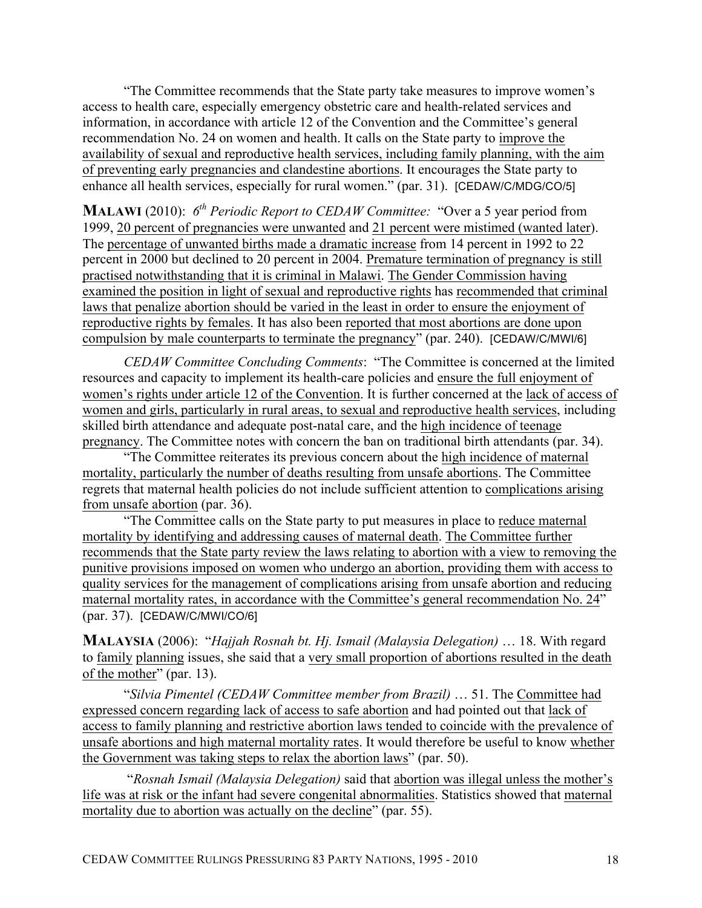"The Committee recommends that the State party take measures to improve women's access to health care, especially emergency obstetric care and health-related services and information, in accordance with article 12 of the Convention and the Committee's general recommendation No. 24 on women and health. It calls on the State party to improve the availability of sexual and reproductive health services, including family planning, with the aim of preventing early pregnancies and clandestine abortions. It encourages the State party to enhance all health services, especially for rural women." (par. 31). [CEDAW/C/MDG/CO/5]

**MALAWI** (2010): *6th Periodic Report to CEDAW Committee:* "Over a 5 year period from 1999, 20 percent of pregnancies were unwanted and 21 percent were mistimed (wanted later). The percentage of unwanted births made a dramatic increase from 14 percent in 1992 to 22 percent in 2000 but declined to 20 percent in 2004. Premature termination of pregnancy is still practised notwithstanding that it is criminal in Malawi. The Gender Commission having examined the position in light of sexual and reproductive rights has recommended that criminal laws that penalize abortion should be varied in the least in order to ensure the enjoyment of reproductive rights by females. It has also been reported that most abortions are done upon compulsion by male counterparts to terminate the pregnancy" (par. 240). [CEDAW/C/MWI/6]

*CEDAW Committee Concluding Comments*: "The Committee is concerned at the limited resources and capacity to implement its health-care policies and ensure the full enjoyment of women's rights under article 12 of the Convention. It is further concerned at the lack of access of women and girls, particularly in rural areas, to sexual and reproductive health services, including skilled birth attendance and adequate post-natal care, and the high incidence of teenage pregnancy. The Committee notes with concern the ban on traditional birth attendants (par. 34).

"The Committee reiterates its previous concern about the high incidence of maternal mortality, particularly the number of deaths resulting from unsafe abortions. The Committee regrets that maternal health policies do not include sufficient attention to complications arising from unsafe abortion (par. 36).

"The Committee calls on the State party to put measures in place to reduce maternal mortality by identifying and addressing causes of maternal death. The Committee further recommends that the State party review the laws relating to abortion with a view to removing the punitive provisions imposed on women who undergo an abortion, providing them with access to quality services for the management of complications arising from unsafe abortion and reducing maternal mortality rates, in accordance with the Committee's general recommendation No. 24" (par. 37). [CEDAW/C/MWI/CO/6]

**MALAYSIA** (2006): "*Hajjah Rosnah bt. Hj. Ismail (Malaysia Delegation)* … 18. With regard to family planning issues, she said that a very small proportion of abortions resulted in the death of the mother" (par. 13).

"*Silvia Pimentel (CEDAW Committee member from Brazil)* … 51. The Committee had expressed concern regarding lack of access to safe abortion and had pointed out that lack of access to family planning and restrictive abortion laws tended to coincide with the prevalence of unsafe abortions and high maternal mortality rates. It would therefore be useful to know whether the Government was taking steps to relax the abortion laws" (par. 50).

"*Rosnah Ismail (Malaysia Delegation)* said that abortion was illegal unless the mother's life was at risk or the infant had severe congenital abnormalities. Statistics showed that maternal mortality due to abortion was actually on the decline" (par. 55).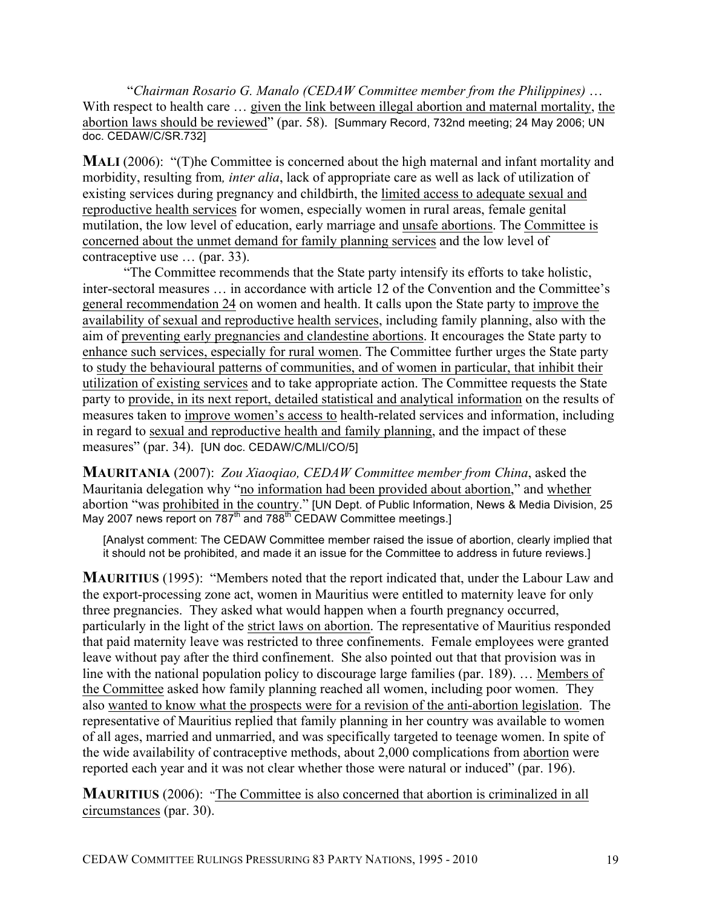"*Chairman Rosario G. Manalo (CEDAW Committee member from the Philippines)* … With respect to health care … given the link between illegal abortion and maternal mortality, the abortion laws should be reviewed" (par. 58). [Summary Record, 732nd meeting; 24 May 2006; UN doc. CEDAW/C/SR.732]

**MALI** (2006): "(T)he Committee is concerned about the high maternal and infant mortality and morbidity, resulting from*, inter alia*, lack of appropriate care as well as lack of utilization of existing services during pregnancy and childbirth, the limited access to adequate sexual and reproductive health services for women, especially women in rural areas, female genital mutilation, the low level of education, early marriage and unsafe abortions. The Committee is concerned about the unmet demand for family planning services and the low level of contraceptive use … (par. 33).

"The Committee recommends that the State party intensify its efforts to take holistic, inter-sectoral measures … in accordance with article 12 of the Convention and the Committee's general recommendation 24 on women and health. It calls upon the State party to improve the availability of sexual and reproductive health services, including family planning, also with the aim of preventing early pregnancies and clandestine abortions. It encourages the State party to enhance such services, especially for rural women. The Committee further urges the State party to study the behavioural patterns of communities, and of women in particular, that inhibit their utilization of existing services and to take appropriate action. The Committee requests the State party to provide, in its next report, detailed statistical and analytical information on the results of measures taken to improve women's access to health-related services and information, including in regard to sexual and reproductive health and family planning, and the impact of these measures" (par. 34). [UN doc. CEDAW/C/MLI/CO/5]

**MAURITANIA** (2007): *Zou Xiaoqiao, CEDAW Committee member from China*, asked the Mauritania delegation why "no information had been provided about abortion," and whether abortion "was prohibited in the country." [UN Dept. of Public Information, News & Media Division, 25 May 2007 news report on 787<sup>th</sup> and 788<sup>th</sup> CEDAW Committee meetings.]

[Analyst comment: The CEDAW Committee member raised the issue of abortion, clearly implied that it should not be prohibited, and made it an issue for the Committee to address in future reviews.]

**MAURITIUS** (1995): "Members noted that the report indicated that, under the Labour Law and the export-processing zone act, women in Mauritius were entitled to maternity leave for only three pregnancies. They asked what would happen when a fourth pregnancy occurred, particularly in the light of the strict laws on abortion. The representative of Mauritius responded that paid maternity leave was restricted to three confinements. Female employees were granted leave without pay after the third confinement. She also pointed out that that provision was in line with the national population policy to discourage large families (par. 189). … Members of the Committee asked how family planning reached all women, including poor women. They also wanted to know what the prospects were for a revision of the anti-abortion legislation. The representative of Mauritius replied that family planning in her country was available to women of all ages, married and unmarried, and was specifically targeted to teenage women. In spite of the wide availability of contraceptive methods, about 2,000 complications from abortion were reported each year and it was not clear whether those were natural or induced" (par. 196).

**MAURITIUS** (2006): "The Committee is also concerned that abortion is criminalized in all circumstances (par. 30).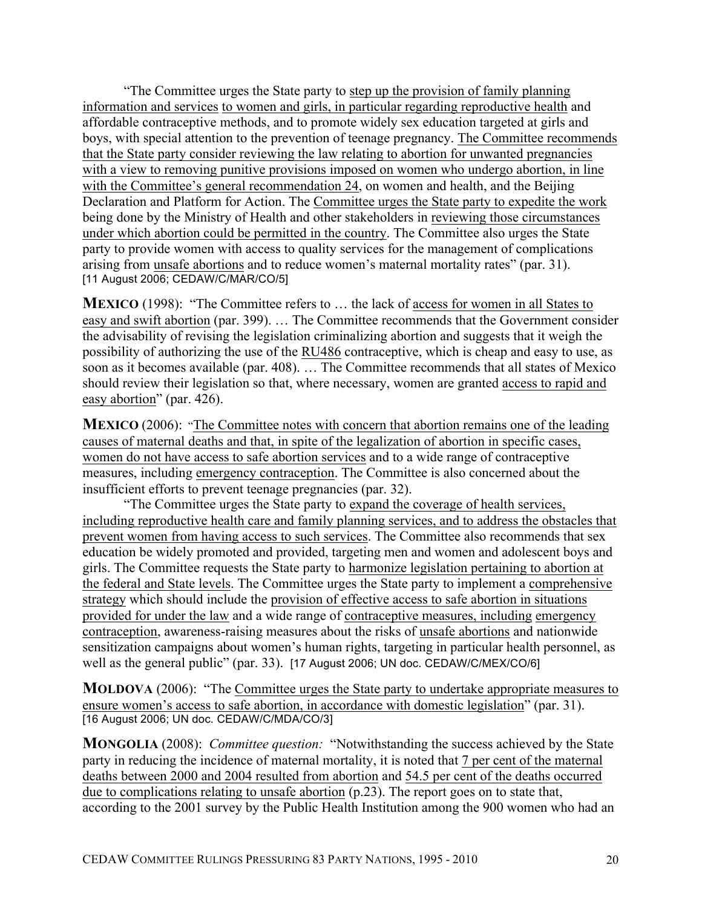"The Committee urges the State party to step up the provision of family planning information and services to women and girls, in particular regarding reproductive health and affordable contraceptive methods, and to promote widely sex education targeted at girls and boys, with special attention to the prevention of teenage pregnancy. The Committee recommends that the State party consider reviewing the law relating to abortion for unwanted pregnancies with a view to removing punitive provisions imposed on women who undergo abortion, in line with the Committee's general recommendation 24, on women and health, and the Beijing Declaration and Platform for Action. The Committee urges the State party to expedite the work being done by the Ministry of Health and other stakeholders in reviewing those circumstances under which abortion could be permitted in the country. The Committee also urges the State party to provide women with access to quality services for the management of complications arising from unsafe abortions and to reduce women's maternal mortality rates" (par. 31). [11 August 2006; CEDAW/C/MAR/CO/5]

**MEXICO** (1998): "The Committee refers to ... the lack of access for women in all States to easy and swift abortion (par. 399). … The Committee recommends that the Government consider the advisability of revising the legislation criminalizing abortion and suggests that it weigh the possibility of authorizing the use of the RU486 contraceptive, which is cheap and easy to use, as soon as it becomes available (par. 408). … The Committee recommends that all states of Mexico should review their legislation so that, where necessary, women are granted access to rapid and easy abortion" (par. 426).

**MEXICO** (2006): "The Committee notes with concern that abortion remains one of the leading causes of maternal deaths and that, in spite of the legalization of abortion in specific cases, women do not have access to safe abortion services and to a wide range of contraceptive measures, including emergency contraception. The Committee is also concerned about the insufficient efforts to prevent teenage pregnancies (par. 32).

"The Committee urges the State party to expand the coverage of health services, including reproductive health care and family planning services, and to address the obstacles that prevent women from having access to such services. The Committee also recommends that sex education be widely promoted and provided, targeting men and women and adolescent boys and girls. The Committee requests the State party to harmonize legislation pertaining to abortion at the federal and State levels. The Committee urges the State party to implement a comprehensive strategy which should include the provision of effective access to safe abortion in situations provided for under the law and a wide range of contraceptive measures, including emergency contraception, awareness-raising measures about the risks of unsafe abortions and nationwide sensitization campaigns about women's human rights, targeting in particular health personnel, as well as the general public" (par. 33). [17 August 2006; UN doc. CEDAW/C/MEX/CO/6]

**MOLDOVA** (2006): "The Committee urges the State party to undertake appropriate measures to ensure women's access to safe abortion, in accordance with domestic legislation" (par. 31). [16 August 2006; UN doc. CEDAW/C/MDA/CO/3]

**MONGOLIA** (2008): *Committee question:* "Notwithstanding the success achieved by the State party in reducing the incidence of maternal mortality, it is noted that 7 per cent of the maternal deaths between 2000 and 2004 resulted from abortion and 54.5 per cent of the deaths occurred due to complications relating to unsafe abortion (p.23). The report goes on to state that, according to the 2001 survey by the Public Health Institution among the 900 women who had an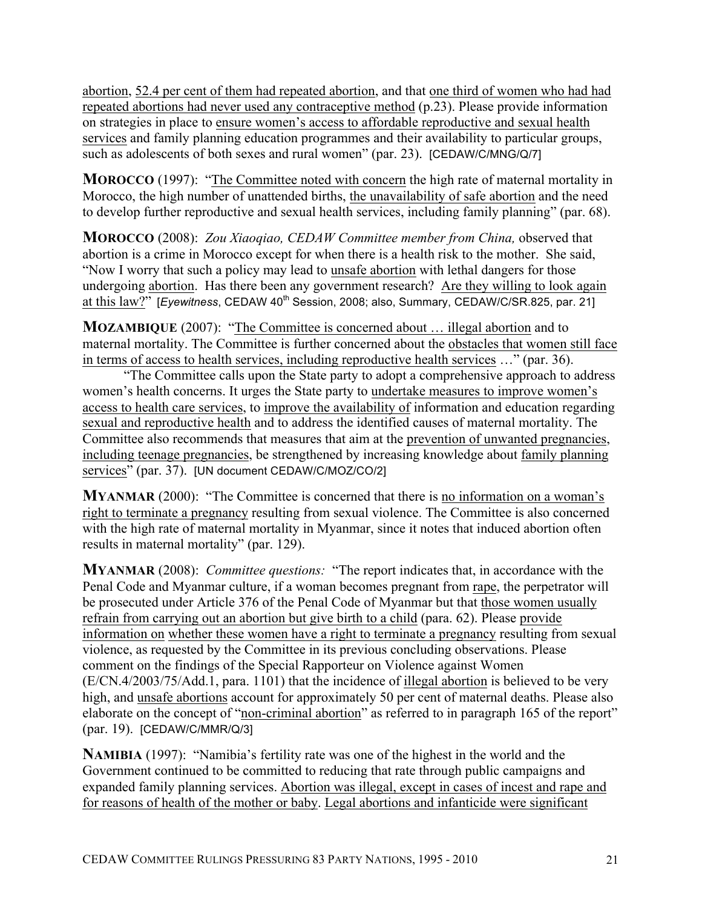abortion, 52.4 per cent of them had repeated abortion, and that one third of women who had had repeated abortions had never used any contraceptive method (p.23). Please provide information on strategies in place to ensure women's access to affordable reproductive and sexual health services and family planning education programmes and their availability to particular groups, such as adolescents of both sexes and rural women" (par. 23). [CEDAW/C/MNG/Q/7]

**MOROCCO** (1997): "The Committee noted with concern the high rate of maternal mortality in Morocco, the high number of unattended births, the unavailability of safe abortion and the need to develop further reproductive and sexual health services, including family planning" (par. 68).

**MOROCCO** (2008): *Zou Xiaoqiao, CEDAW Committee member from China,* observed that abortion is a crime in Morocco except for when there is a health risk to the mother. She said, "Now I worry that such a policy may lead to unsafe abortion with lethal dangers for those undergoing abortion. Has there been any government research? Are they willing to look again at this law?" [*Eyewitness*, CEDAW 40<sup>th</sup> Session, 2008; also, Summary, CEDAW/C/SR.825, par. 21]

**MOZAMBIQUE** (2007): "The Committee is concerned about ... illegal abortion and to maternal mortality. The Committee is further concerned about the obstacles that women still face in terms of access to health services, including reproductive health services …" (par. 36).

"The Committee calls upon the State party to adopt a comprehensive approach to address women's health concerns. It urges the State party to undertake measures to improve women's access to health care services, to improve the availability of information and education regarding sexual and reproductive health and to address the identified causes of maternal mortality. The Committee also recommends that measures that aim at the prevention of unwanted pregnancies, including teenage pregnancies, be strengthened by increasing knowledge about family planning services" (par. 37). [UN document CEDAW/C/MOZ/CO/2]

**MYANMAR** (2000): "The Committee is concerned that there is no information on a woman's right to terminate a pregnancy resulting from sexual violence. The Committee is also concerned with the high rate of maternal mortality in Myanmar, since it notes that induced abortion often results in maternal mortality" (par. 129).

**MYANMAR** (2008): *Committee questions:* "The report indicates that, in accordance with the Penal Code and Myanmar culture, if a woman becomes pregnant from rape, the perpetrator will be prosecuted under Article 376 of the Penal Code of Myanmar but that those women usually refrain from carrying out an abortion but give birth to a child (para. 62). Please provide information on whether these women have a right to terminate a pregnancy resulting from sexual violence, as requested by the Committee in its previous concluding observations. Please comment on the findings of the Special Rapporteur on Violence against Women (E/CN.4/2003/75/Add.1, para. 1101) that the incidence of illegal abortion is believed to be very high, and unsafe abortions account for approximately 50 per cent of maternal deaths. Please also elaborate on the concept of "non-criminal abortion" as referred to in paragraph 165 of the report" (par. 19). [CEDAW/C/MMR/Q/3]

**NAMIBIA** (1997): "Namibia's fertility rate was one of the highest in the world and the Government continued to be committed to reducing that rate through public campaigns and expanded family planning services. Abortion was illegal, except in cases of incest and rape and for reasons of health of the mother or baby. Legal abortions and infanticide were significant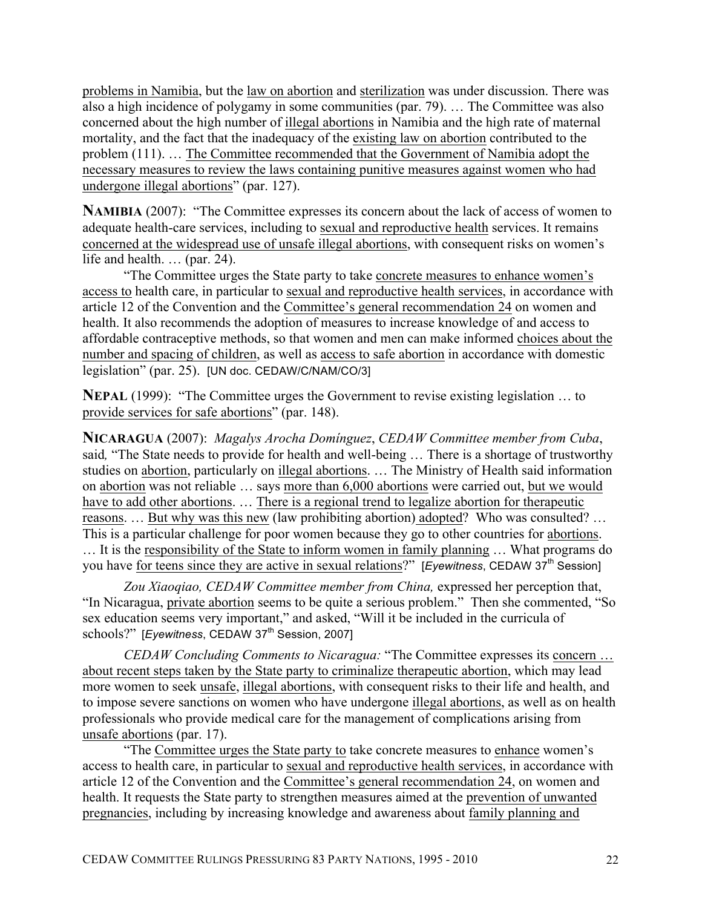problems in Namibia, but the law on abortion and sterilization was under discussion. There was also a high incidence of polygamy in some communities (par. 79). … The Committee was also concerned about the high number of illegal abortions in Namibia and the high rate of maternal mortality, and the fact that the inadequacy of the existing law on abortion contributed to the problem (111). … The Committee recommended that the Government of Namibia adopt the necessary measures to review the laws containing punitive measures against women who had undergone illegal abortions" (par. 127).

**NAMIBIA** (2007): "The Committee expresses its concern about the lack of access of women to adequate health-care services, including to sexual and reproductive health services. It remains concerned at the widespread use of unsafe illegal abortions, with consequent risks on women's life and health. … (par. 24).

"The Committee urges the State party to take concrete measures to enhance women's access to health care, in particular to sexual and reproductive health services, in accordance with article 12 of the Convention and the Committee's general recommendation 24 on women and health. It also recommends the adoption of measures to increase knowledge of and access to affordable contraceptive methods, so that women and men can make informed choices about the number and spacing of children, as well as access to safe abortion in accordance with domestic legislation" (par. 25). [UN doc. CEDAW/C/NAM/CO/3]

**NEPAL** (1999): "The Committee urges the Government to revise existing legislation ... to provide services for safe abortions" (par. 148).

**NICARAGUA** (2007): *Magalys Arocha Domínguez*, *CEDAW Committee member from Cuba*, said*,* "The State needs to provide for health and well-being … There is a shortage of trustworthy studies on abortion, particularly on illegal abortions. … The Ministry of Health said information on abortion was not reliable … says more than 6,000 abortions were carried out, but we would have to add other abortions. ... There is a regional trend to legalize abortion for therapeutic reasons. … But why was this new (law prohibiting abortion) adopted? Who was consulted? … This is a particular challenge for poor women because they go to other countries for abortions. … It is the responsibility of the State to inform women in family planning … What programs do you have for teens since they are active in sexual relations?" [*Eyewitness*, CEDAW 37<sup>th</sup> Session]

*Zou Xiaoqiao, CEDAW Committee member from China,* expressed her perception that, "In Nicaragua, private abortion seems to be quite a serious problem." Then she commented, "So sex education seems very important," and asked, "Will it be included in the curricula of schools?" [*Eyewitness*, CEDAW 37<sup>th</sup> Session, 2007]

*CEDAW Concluding Comments to Nicaragua:* "The Committee expresses its concern … about recent steps taken by the State party to criminalize therapeutic abortion, which may lead more women to seek unsafe, illegal abortions, with consequent risks to their life and health, and to impose severe sanctions on women who have undergone illegal abortions, as well as on health professionals who provide medical care for the management of complications arising from unsafe abortions (par. 17).

"The Committee urges the State party to take concrete measures to enhance women's access to health care, in particular to sexual and reproductive health services, in accordance with article 12 of the Convention and the Committee's general recommendation 24, on women and health. It requests the State party to strengthen measures aimed at the prevention of unwanted pregnancies, including by increasing knowledge and awareness about family planning and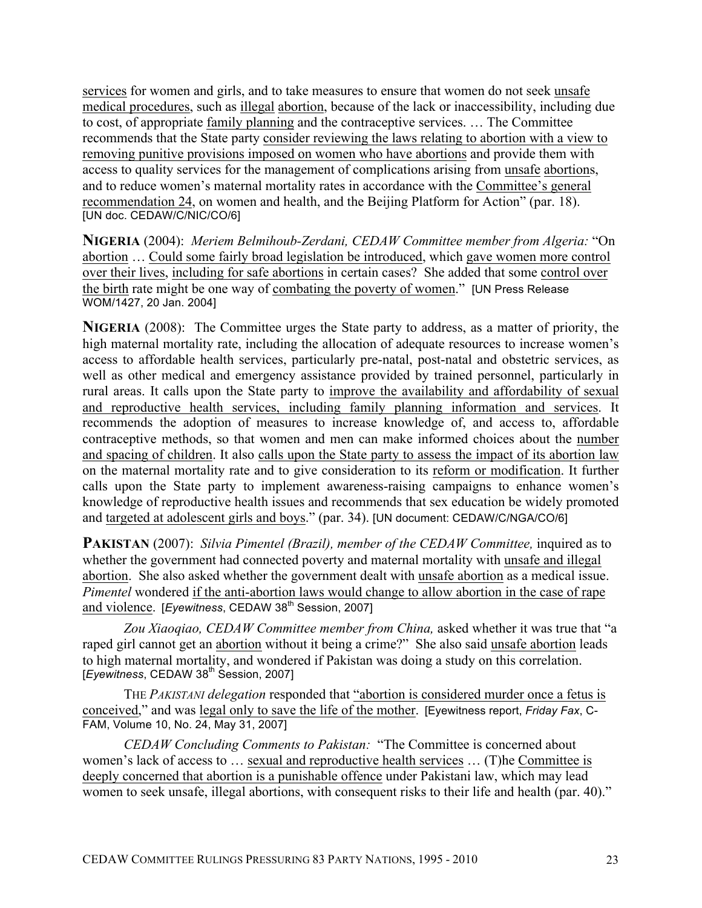services for women and girls, and to take measures to ensure that women do not seek unsafe medical procedures, such as illegal abortion, because of the lack or inaccessibility, including due to cost, of appropriate family planning and the contraceptive services. … The Committee recommends that the State party consider reviewing the laws relating to abortion with a view to removing punitive provisions imposed on women who have abortions and provide them with access to quality services for the management of complications arising from unsafe abortions, and to reduce women's maternal mortality rates in accordance with the Committee's general recommendation 24, on women and health, and the Beijing Platform for Action" (par. 18). [UN doc. CEDAW/C/NIC/CO/6]

**NIGERIA** (2004): *Meriem Belmihoub-Zerdani, CEDAW Committee member from Algeria:* "On abortion … Could some fairly broad legislation be introduced, which gave women more control over their lives, including for safe abortions in certain cases? She added that some control over the birth rate might be one way of combating the poverty of women." [UN Press Release WOM/1427, 20 Jan. 2004]

**NIGERIA** (2008): The Committee urges the State party to address, as a matter of priority, the high maternal mortality rate, including the allocation of adequate resources to increase women's access to affordable health services, particularly pre-natal, post-natal and obstetric services, as well as other medical and emergency assistance provided by trained personnel, particularly in rural areas. It calls upon the State party to improve the availability and affordability of sexual and reproductive health services, including family planning information and services. It recommends the adoption of measures to increase knowledge of, and access to, affordable contraceptive methods, so that women and men can make informed choices about the number and spacing of children. It also calls upon the State party to assess the impact of its abortion law on the maternal mortality rate and to give consideration to its reform or modification. It further calls upon the State party to implement awareness-raising campaigns to enhance women's knowledge of reproductive health issues and recommends that sex education be widely promoted and targeted at adolescent girls and boys." (par. 34). [UN document: CEDAW/C/NGA/CO/6]

**PAKISTAN** (2007): *Silvia Pimentel (Brazil), member of the CEDAW Committee,* inquired as to whether the government had connected poverty and maternal mortality with unsafe and illegal abortion. She also asked whether the government dealt with unsafe abortion as a medical issue. *Pimentel* wondered if the anti-abortion laws would change to allow abortion in the case of rape and violence. [*Eyewitness*, CEDAW 38<sup>th</sup> Session, 2007]

*Zou Xiaoqiao, CEDAW Committee member from China,* asked whether it was true that "a raped girl cannot get an abortion without it being a crime?" She also said unsafe abortion leads to high maternal mortality, and wondered if Pakistan was doing a study on this correlation. [*Eyewitness*, CEDAW 38<sup>th</sup> Session, 2007]

THE *PAKISTANI delegation* responded that "abortion is considered murder once a fetus is conceived," and was legal only to save the life of the mother. [Eyewitness report, *Friday Fax*, C-FAM, Volume 10, No. 24, May 31, 2007]

*CEDAW Concluding Comments to Pakistan:* "The Committee is concerned about women's lack of access to … sexual and reproductive health services … (T)he Committee is deeply concerned that abortion is a punishable offence under Pakistani law, which may lead women to seek unsafe, illegal abortions, with consequent risks to their life and health (par. 40)."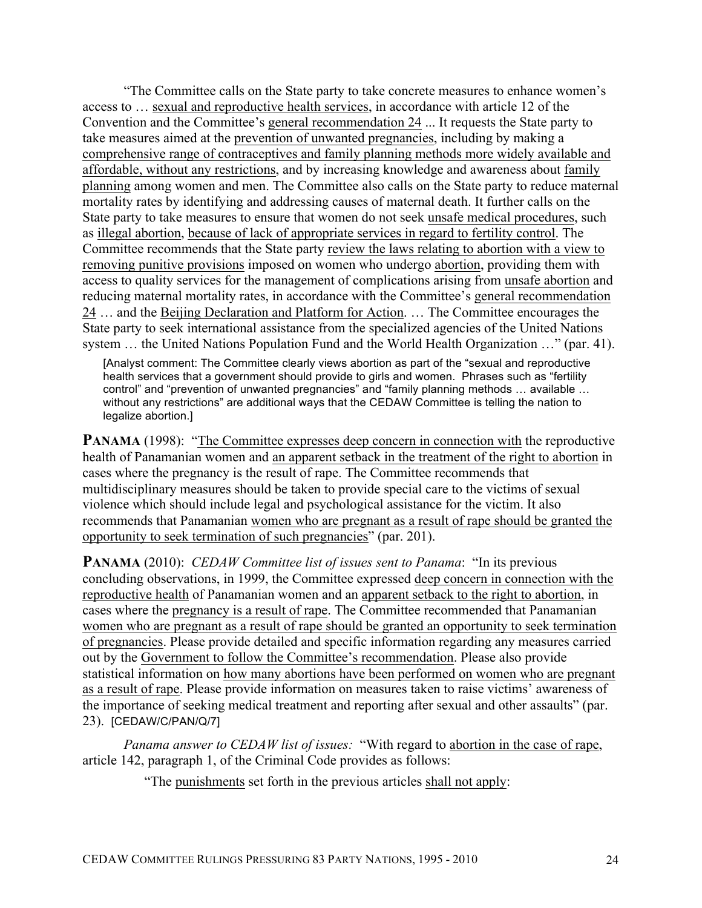"The Committee calls on the State party to take concrete measures to enhance women's access to … sexual and reproductive health services, in accordance with article 12 of the Convention and the Committee's general recommendation 24 ... It requests the State party to take measures aimed at the prevention of unwanted pregnancies, including by making a comprehensive range of contraceptives and family planning methods more widely available and affordable, without any restrictions, and by increasing knowledge and awareness about family planning among women and men. The Committee also calls on the State party to reduce maternal mortality rates by identifying and addressing causes of maternal death. It further calls on the State party to take measures to ensure that women do not seek unsafe medical procedures, such as illegal abortion, because of lack of appropriate services in regard to fertility control. The Committee recommends that the State party review the laws relating to abortion with a view to removing punitive provisions imposed on women who undergo abortion, providing them with access to quality services for the management of complications arising from unsafe abortion and reducing maternal mortality rates, in accordance with the Committee's general recommendation 24 … and the Beijing Declaration and Platform for Action. … The Committee encourages the State party to seek international assistance from the specialized agencies of the United Nations system … the United Nations Population Fund and the World Health Organization …" (par. 41).

[Analyst comment: The Committee clearly views abortion as part of the "sexual and reproductive health services that a government should provide to girls and women. Phrases such as "fertility control" and "prevention of unwanted pregnancies" and "family planning methods … available … without any restrictions" are additional ways that the CEDAW Committee is telling the nation to legalize abortion.]

**PANAMA** (1998): "The Committee expresses deep concern in connection with the reproductive health of Panamanian women and an apparent setback in the treatment of the right to abortion in cases where the pregnancy is the result of rape. The Committee recommends that multidisciplinary measures should be taken to provide special care to the victims of sexual violence which should include legal and psychological assistance for the victim. It also recommends that Panamanian women who are pregnant as a result of rape should be granted the opportunity to seek termination of such pregnancies" (par. 201).

**PANAMA** (2010): *CEDAW Committee list of issues sent to Panama*: "In its previous concluding observations, in 1999, the Committee expressed deep concern in connection with the reproductive health of Panamanian women and an apparent setback to the right to abortion, in cases where the pregnancy is a result of rape. The Committee recommended that Panamanian women who are pregnant as a result of rape should be granted an opportunity to seek termination of pregnancies. Please provide detailed and specific information regarding any measures carried out by the Government to follow the Committee's recommendation. Please also provide statistical information on how many abortions have been performed on women who are pregnant as a result of rape. Please provide information on measures taken to raise victims' awareness of the importance of seeking medical treatment and reporting after sexual and other assaults" (par. 23). [CEDAW/C/PAN/Q/7]

*Panama answer to CEDAW list of issues:* "With regard to abortion in the case of rape, article 142, paragraph 1, of the Criminal Code provides as follows:

"The punishments set forth in the previous articles shall not apply: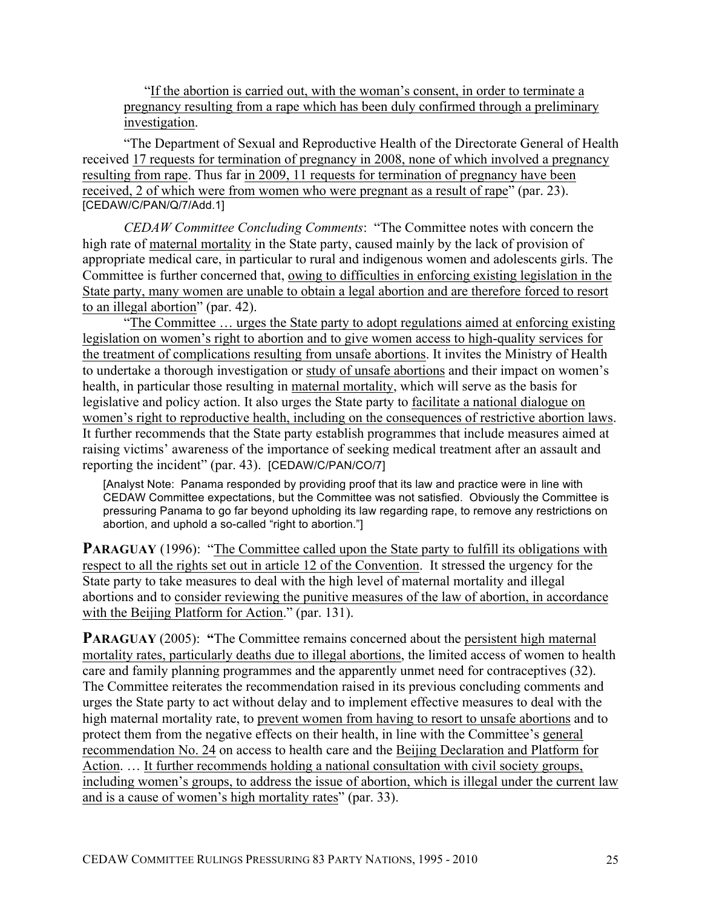"If the abortion is carried out, with the woman's consent, in order to terminate a pregnancy resulting from a rape which has been duly confirmed through a preliminary investigation.

"The Department of Sexual and Reproductive Health of the Directorate General of Health received 17 requests for termination of pregnancy in 2008, none of which involved a pregnancy resulting from rape. Thus far in 2009, 11 requests for termination of pregnancy have been received, 2 of which were from women who were pregnant as a result of rape" (par. 23). [CEDAW/C/PAN/Q/7/Add.1]

*CEDAW Committee Concluding Comments*: "The Committee notes with concern the high rate of maternal mortality in the State party, caused mainly by the lack of provision of appropriate medical care, in particular to rural and indigenous women and adolescents girls. The Committee is further concerned that, owing to difficulties in enforcing existing legislation in the State party, many women are unable to obtain a legal abortion and are therefore forced to resort to an illegal abortion" (par. 42).

"The Committee … urges the State party to adopt regulations aimed at enforcing existing legislation on women's right to abortion and to give women access to high-quality services for the treatment of complications resulting from unsafe abortions. It invites the Ministry of Health to undertake a thorough investigation or study of unsafe abortions and their impact on women's health, in particular those resulting in maternal mortality, which will serve as the basis for legislative and policy action. It also urges the State party to facilitate a national dialogue on women's right to reproductive health, including on the consequences of restrictive abortion laws. It further recommends that the State party establish programmes that include measures aimed at raising victims' awareness of the importance of seeking medical treatment after an assault and reporting the incident" (par. 43). [CEDAW/C/PAN/CO/7]

[Analyst Note: Panama responded by providing proof that its law and practice were in line with CEDAW Committee expectations, but the Committee was not satisfied. Obviously the Committee is pressuring Panama to go far beyond upholding its law regarding rape, to remove any restrictions on abortion, and uphold a so-called "right to abortion."]

**PARAGUAY** (1996): "The Committee called upon the State party to fulfill its obligations with respect to all the rights set out in article 12 of the Convention. It stressed the urgency for the State party to take measures to deal with the high level of maternal mortality and illegal abortions and to consider reviewing the punitive measures of the law of abortion, in accordance with the Beijing Platform for Action." (par. 131).

**PARAGUAY** (2005): "The Committee remains concerned about the persistent high maternal mortality rates, particularly deaths due to illegal abortions, the limited access of women to health care and family planning programmes and the apparently unmet need for contraceptives (32). The Committee reiterates the recommendation raised in its previous concluding comments and urges the State party to act without delay and to implement effective measures to deal with the high maternal mortality rate, to prevent women from having to resort to unsafe abortions and to protect them from the negative effects on their health, in line with the Committee's general recommendation No. 24 on access to health care and the Beijing Declaration and Platform for Action. ... It further recommends holding a national consultation with civil society groups, including women's groups, to address the issue of abortion, which is illegal under the current law and is a cause of women's high mortality rates" (par. 33).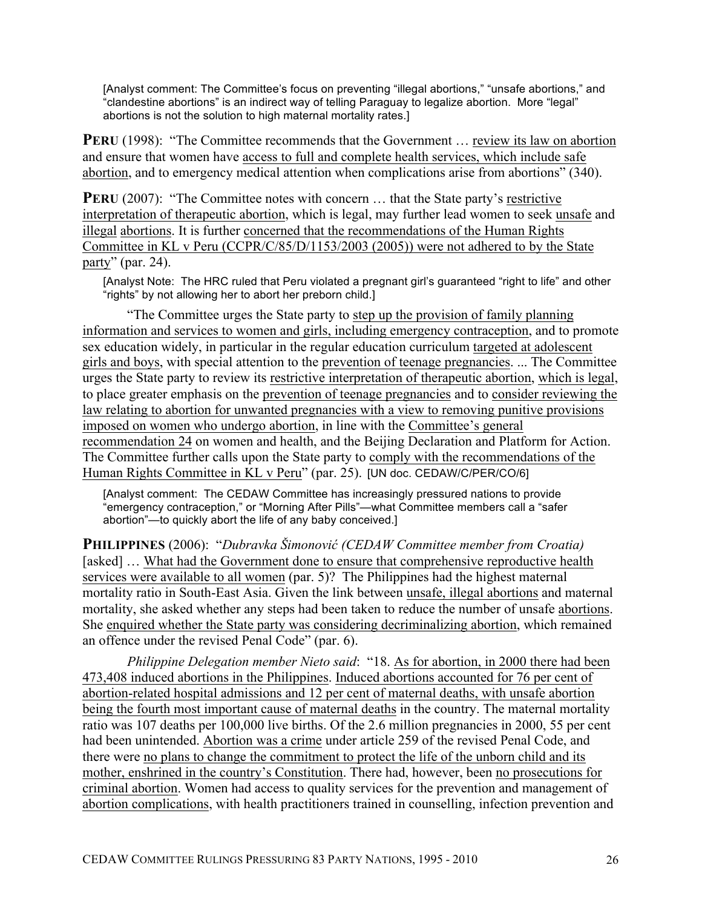[Analyst comment: The Committee's focus on preventing "illegal abortions," "unsafe abortions," and "clandestine abortions" is an indirect way of telling Paraguay to legalize abortion. More "legal" abortions is not the solution to high maternal mortality rates.]

**PERU** (1998): "The Committee recommends that the Government ... review its law on abortion and ensure that women have access to full and complete health services, which include safe abortion, and to emergency medical attention when complications arise from abortions" (340).

**PERU** (2007): "The Committee notes with concern ... that the State party's restrictive interpretation of therapeutic abortion, which is legal, may further lead women to seek unsafe and illegal abortions. It is further concerned that the recommendations of the Human Rights Committee in KL v Peru (CCPR/C/85/D/1153/2003 (2005)) were not adhered to by the State party" (par. 24).

[Analyst Note: The HRC ruled that Peru violated a pregnant girl's guaranteed "right to life" and other "rights" by not allowing her to abort her preborn child.]

"The Committee urges the State party to step up the provision of family planning information and services to women and girls, including emergency contraception, and to promote sex education widely, in particular in the regular education curriculum targeted at adolescent girls and boys, with special attention to the prevention of teenage pregnancies. ... The Committee urges the State party to review its restrictive interpretation of therapeutic abortion, which is legal, to place greater emphasis on the prevention of teenage pregnancies and to consider reviewing the law relating to abortion for unwanted pregnancies with a view to removing punitive provisions imposed on women who undergo abortion, in line with the Committee's general recommendation 24 on women and health, and the Beijing Declaration and Platform for Action. The Committee further calls upon the State party to comply with the recommendations of the Human Rights Committee in KL v Peru" (par. 25). [UN doc. CEDAW/C/PER/CO/6]

[Analyst comment: The CEDAW Committee has increasingly pressured nations to provide "emergency contraception," or "Morning After Pills"—what Committee members call a "safer abortion"—to quickly abort the life of any baby conceived.]

**PHILIPPINES** (2006): "*Dubravka Šimonović (CEDAW Committee member from Croatia)* [asked] ... What had the Government done to ensure that comprehensive reproductive health services were available to all women (par. 5)? The Philippines had the highest maternal mortality ratio in South-East Asia. Given the link between unsafe, illegal abortions and maternal mortality, she asked whether any steps had been taken to reduce the number of unsafe abortions. She enquired whether the State party was considering decriminalizing abortion, which remained an offence under the revised Penal Code" (par. 6).

*Philippine Delegation member Nieto said*: "18. As for abortion, in 2000 there had been 473,408 induced abortions in the Philippines. Induced abortions accounted for 76 per cent of abortion-related hospital admissions and 12 per cent of maternal deaths, with unsafe abortion being the fourth most important cause of maternal deaths in the country. The maternal mortality ratio was 107 deaths per 100,000 live births. Of the 2.6 million pregnancies in 2000, 55 per cent had been unintended. Abortion was a crime under article 259 of the revised Penal Code, and there were no plans to change the commitment to protect the life of the unborn child and its mother, enshrined in the country's Constitution. There had, however, been no prosecutions for criminal abortion. Women had access to quality services for the prevention and management of abortion complications, with health practitioners trained in counselling, infection prevention and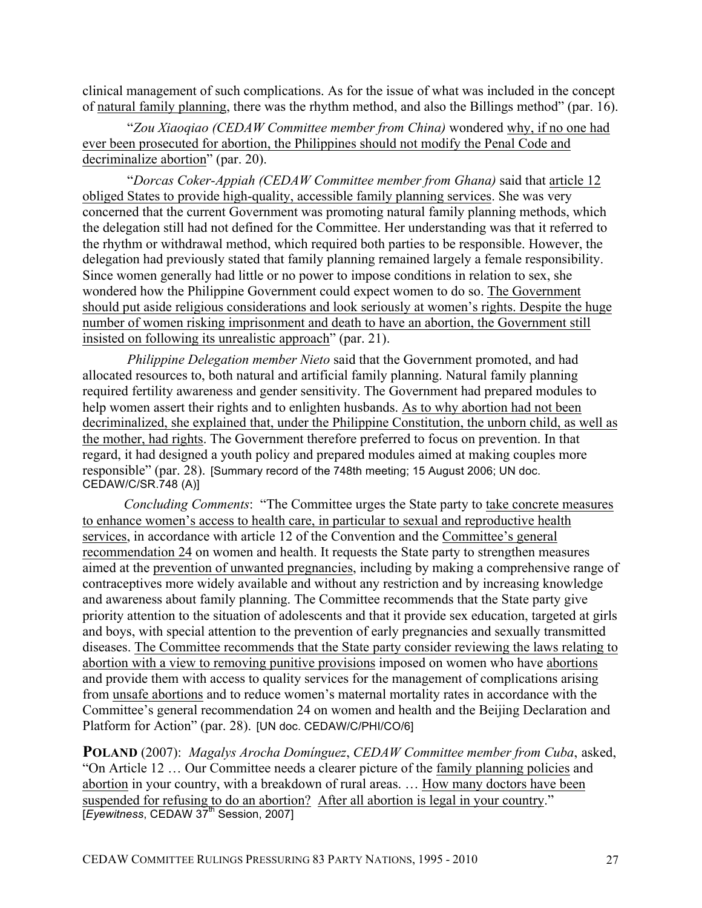clinical management of such complications. As for the issue of what was included in the concept of natural family planning, there was the rhythm method, and also the Billings method" (par. 16).

"*Zou Xiaoqiao (CEDAW Committee member from China)* wondered why, if no one had ever been prosecuted for abortion, the Philippines should not modify the Penal Code and decriminalize abortion" (par. 20).

"*Dorcas Coker-Appiah (CEDAW Committee member from Ghana)* said that article 12 obliged States to provide high-quality, accessible family planning services. She was very concerned that the current Government was promoting natural family planning methods, which the delegation still had not defined for the Committee. Her understanding was that it referred to the rhythm or withdrawal method, which required both parties to be responsible. However, the delegation had previously stated that family planning remained largely a female responsibility. Since women generally had little or no power to impose conditions in relation to sex, she wondered how the Philippine Government could expect women to do so. The Government should put aside religious considerations and look seriously at women's rights. Despite the huge number of women risking imprisonment and death to have an abortion, the Government still insisted on following its unrealistic approach" (par. 21).

*Philippine Delegation member Nieto* said that the Government promoted, and had allocated resources to, both natural and artificial family planning. Natural family planning required fertility awareness and gender sensitivity. The Government had prepared modules to help women assert their rights and to enlighten husbands. As to why abortion had not been decriminalized, she explained that, under the Philippine Constitution, the unborn child, as well as the mother, had rights. The Government therefore preferred to focus on prevention. In that regard, it had designed a youth policy and prepared modules aimed at making couples more responsible" (par. 28). [Summary record of the 748th meeting; 15 August 2006; UN doc. CEDAW/C/SR.748 (A)]

*Concluding Comments*: "The Committee urges the State party to take concrete measures to enhance women's access to health care, in particular to sexual and reproductive health services, in accordance with article 12 of the Convention and the Committee's general recommendation 24 on women and health. It requests the State party to strengthen measures aimed at the prevention of unwanted pregnancies, including by making a comprehensive range of contraceptives more widely available and without any restriction and by increasing knowledge and awareness about family planning. The Committee recommends that the State party give priority attention to the situation of adolescents and that it provide sex education, targeted at girls and boys, with special attention to the prevention of early pregnancies and sexually transmitted diseases. The Committee recommends that the State party consider reviewing the laws relating to abortion with a view to removing punitive provisions imposed on women who have abortions and provide them with access to quality services for the management of complications arising from unsafe abortions and to reduce women's maternal mortality rates in accordance with the Committee's general recommendation 24 on women and health and the Beijing Declaration and Platform for Action" (par. 28). [UN doc. CEDAW/C/PHI/CO/6]

**POLAND** (2007): *Magalys Arocha Domínguez*, *CEDAW Committee member from Cuba*, asked, "On Article 12 … Our Committee needs a clearer picture of the family planning policies and abortion in your country, with a breakdown of rural areas. … How many doctors have been suspended for refusing to do an abortion? After all abortion is legal in your country." [*Eyewitness*, CEDAW 37th Session, 2007]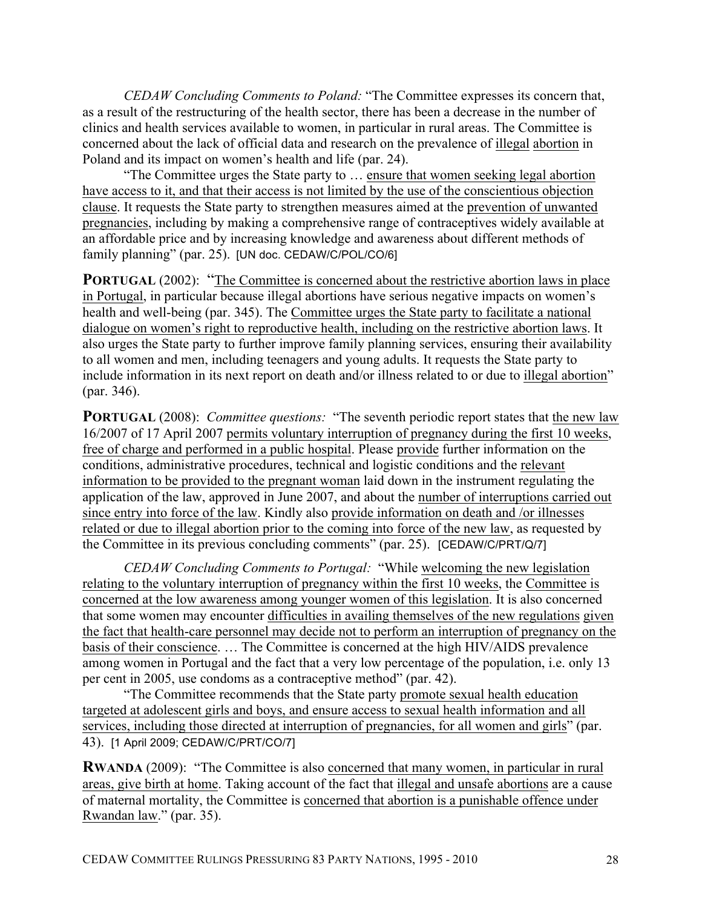*CEDAW Concluding Comments to Poland:* "The Committee expresses its concern that, as a result of the restructuring of the health sector, there has been a decrease in the number of clinics and health services available to women, in particular in rural areas. The Committee is concerned about the lack of official data and research on the prevalence of illegal abortion in Poland and its impact on women's health and life (par. 24).

"The Committee urges the State party to … ensure that women seeking legal abortion have access to it, and that their access is not limited by the use of the conscientious objection clause. It requests the State party to strengthen measures aimed at the prevention of unwanted pregnancies, including by making a comprehensive range of contraceptives widely available at an affordable price and by increasing knowledge and awareness about different methods of family planning" (par. 25). [UN doc. CEDAW/C/POL/CO/6]

**PORTUGAL** (2002): "The Committee is concerned about the restrictive abortion laws in place in Portugal, in particular because illegal abortions have serious negative impacts on women's health and well-being (par. 345). The Committee urges the State party to facilitate a national dialogue on women's right to reproductive health, including on the restrictive abortion laws. It also urges the State party to further improve family planning services, ensuring their availability to all women and men, including teenagers and young adults. It requests the State party to include information in its next report on death and/or illness related to or due to illegal abortion" (par. 346).

**PORTUGAL** (2008): *Committee questions:* "The seventh periodic report states that the new law 16/2007 of 17 April 2007 permits voluntary interruption of pregnancy during the first 10 weeks, free of charge and performed in a public hospital. Please provide further information on the conditions, administrative procedures, technical and logistic conditions and the relevant information to be provided to the pregnant woman laid down in the instrument regulating the application of the law, approved in June 2007, and about the number of interruptions carried out since entry into force of the law. Kindly also provide information on death and /or illnesses related or due to illegal abortion prior to the coming into force of the new law, as requested by the Committee in its previous concluding comments" (par. 25). [CEDAW/C/PRT/Q/7]

*CEDAW Concluding Comments to Portugal:* "While welcoming the new legislation relating to the voluntary interruption of pregnancy within the first 10 weeks, the Committee is concerned at the low awareness among younger women of this legislation. It is also concerned that some women may encounter difficulties in availing themselves of the new regulations given the fact that health-care personnel may decide not to perform an interruption of pregnancy on the basis of their conscience. … The Committee is concerned at the high HIV/AIDS prevalence among women in Portugal and the fact that a very low percentage of the population, i.e. only 13 per cent in 2005, use condoms as a contraceptive method" (par. 42).

"The Committee recommends that the State party promote sexual health education targeted at adolescent girls and boys, and ensure access to sexual health information and all services, including those directed at interruption of pregnancies, for all women and girls" (par. 43). [1 April 2009; CEDAW/C/PRT/CO/7]

**RWANDA** (2009): "The Committee is also concerned that many women, in particular in rural areas, give birth at home. Taking account of the fact that illegal and unsafe abortions are a cause of maternal mortality, the Committee is concerned that abortion is a punishable offence under Rwandan law." (par. 35).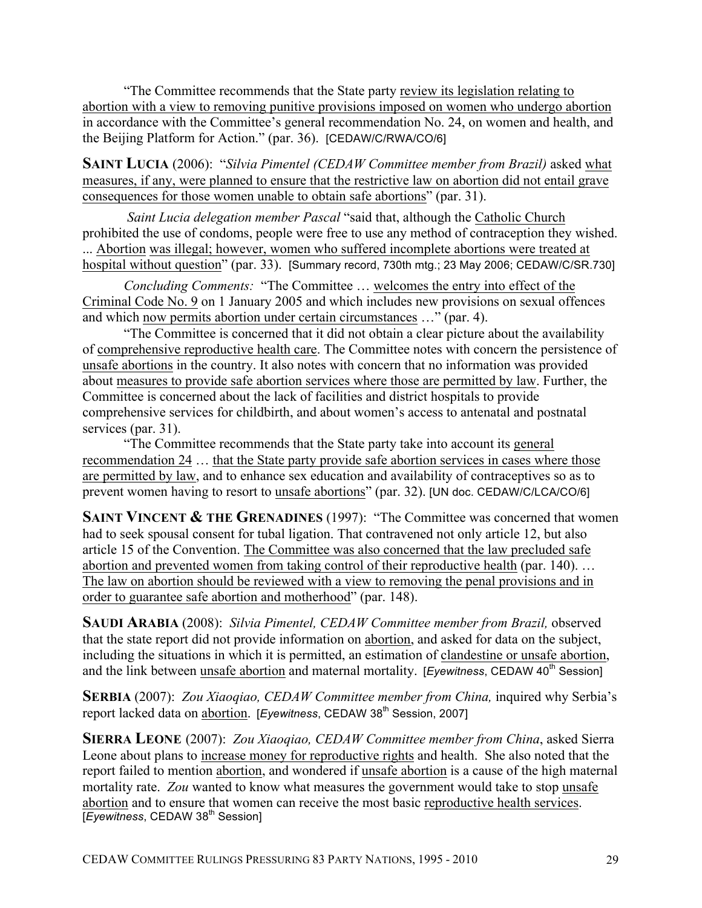"The Committee recommends that the State party review its legislation relating to abortion with a view to removing punitive provisions imposed on women who undergo abortion in accordance with the Committee's general recommendation No. 24, on women and health, and the Beijing Platform for Action." (par. 36). [CEDAW/C/RWA/CO/6]

**SAINT LUCIA** (2006): "*Silvia Pimentel (CEDAW Committee member from Brazil)* asked what measures, if any, were planned to ensure that the restrictive law on abortion did not entail grave consequences for those women unable to obtain safe abortions" (par. 31).

*Saint Lucia delegation member Pascal* "said that, although the Catholic Church prohibited the use of condoms, people were free to use any method of contraception they wished. ... Abortion was illegal; however, women who suffered incomplete abortions were treated at hospital without question" (par. 33). [Summary record, 730th mtg.; 23 May 2006; CEDAW/C/SR.730]

*Concluding Comments:* "The Committee … welcomes the entry into effect of the Criminal Code No. 9 on 1 January 2005 and which includes new provisions on sexual offences and which now permits abortion under certain circumstances …" (par. 4).

"The Committee is concerned that it did not obtain a clear picture about the availability of comprehensive reproductive health care. The Committee notes with concern the persistence of unsafe abortions in the country. It also notes with concern that no information was provided about measures to provide safe abortion services where those are permitted by law. Further, the Committee is concerned about the lack of facilities and district hospitals to provide comprehensive services for childbirth, and about women's access to antenatal and postnatal services (par. 31).

"The Committee recommends that the State party take into account its general recommendation 24 … that the State party provide safe abortion services in cases where those are permitted by law, and to enhance sex education and availability of contraceptives so as to prevent women having to resort to unsafe abortions" (par. 32). [UN doc. CEDAW/C/LCA/CO/6]

**SAINT VINCENT & THE GRENADINES** (1997): "The Committee was concerned that women had to seek spousal consent for tubal ligation. That contravened not only article 12, but also article 15 of the Convention. The Committee was also concerned that the law precluded safe abortion and prevented women from taking control of their reproductive health (par. 140). … The law on abortion should be reviewed with a view to removing the penal provisions and in order to guarantee safe abortion and motherhood" (par. 148).

**SAUDI ARABIA** (2008): *Silvia Pimentel, CEDAW Committee member from Brazil,* observed that the state report did not provide information on abortion, and asked for data on the subject, including the situations in which it is permitted, an estimation of clandestine or unsafe abortion, and the link between unsafe abortion and maternal mortality. [*Eyewitness*, CEDAW 40<sup>th</sup> Session]

**SERBIA** (2007): *Zou Xiaoqiao, CEDAW Committee member from China,* inquired why Serbia's report lacked data on abortion. [*Eyewitness*, CEDAW 38<sup>th</sup> Session, 2007]

**SIERRA LEONE** (2007): *Zou Xiaoqiao, CEDAW Committee member from China*, asked Sierra Leone about plans to increase money for reproductive rights and health. She also noted that the report failed to mention abortion, and wondered if unsafe abortion is a cause of the high maternal mortality rate. *Zou* wanted to know what measures the government would take to stop unsafe abortion and to ensure that women can receive the most basic reproductive health services. [*Eyewitness*, CEDAW 38<sup>th</sup> Session]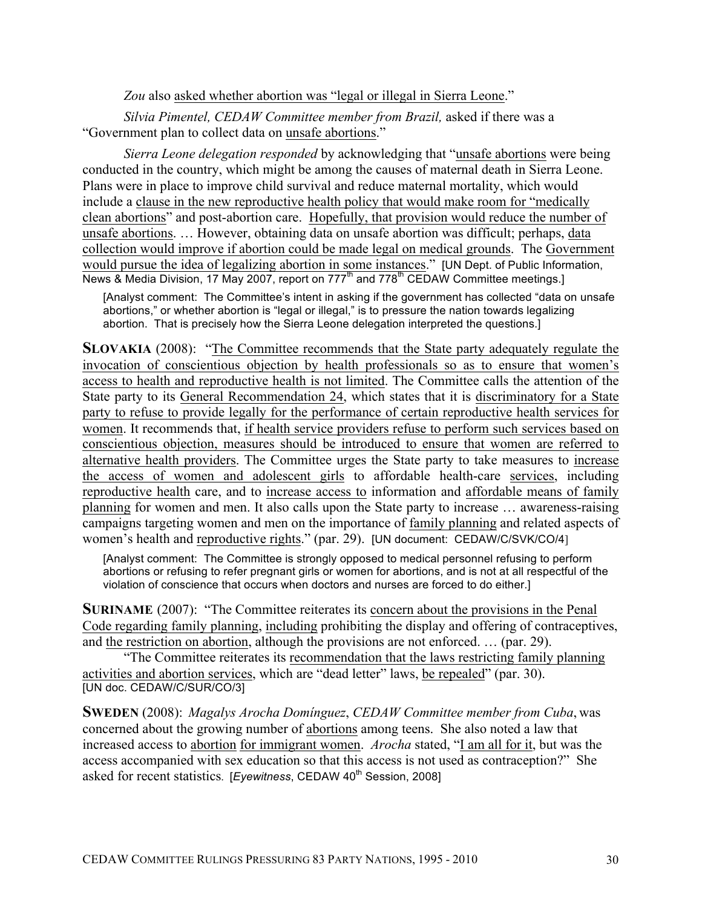Zou also asked whether abortion was "legal or illegal in Sierra Leone."

*Silvia Pimentel, CEDAW Committee member from Brazil,* asked if there was a "Government plan to collect data on unsafe abortions."

*Sierra Leone delegation responded* by acknowledging that "unsafe abortions were being conducted in the country, which might be among the causes of maternal death in Sierra Leone. Plans were in place to improve child survival and reduce maternal mortality, which would include a clause in the new reproductive health policy that would make room for "medically clean abortions" and post-abortion care. Hopefully, that provision would reduce the number of unsafe abortions. … However, obtaining data on unsafe abortion was difficult; perhaps, data collection would improve if abortion could be made legal on medical grounds. The Government would pursue the idea of legalizing abortion in some instances." [UN Dept. of Public Information, News & Media Division, 17 May 2007, report on 777<sup>th</sup> and 778<sup>th</sup> CEDAW Committee meetings.]

[Analyst comment: The Committee's intent in asking if the government has collected "data on unsafe abortions," or whether abortion is "legal or illegal," is to pressure the nation towards legalizing abortion. That is precisely how the Sierra Leone delegation interpreted the questions.]

**SLOVAKIA** (2008): "The Committee recommends that the State party adequately regulate the invocation of conscientious objection by health professionals so as to ensure that women's access to health and reproductive health is not limited. The Committee calls the attention of the State party to its General Recommendation 24, which states that it is discriminatory for a State party to refuse to provide legally for the performance of certain reproductive health services for women. It recommends that, if health service providers refuse to perform such services based on conscientious objection, measures should be introduced to ensure that women are referred to alternative health providers. The Committee urges the State party to take measures to increase the access of women and adolescent girls to affordable health-care services, including reproductive health care, and to increase access to information and affordable means of family planning for women and men. It also calls upon the State party to increase … awareness-raising campaigns targeting women and men on the importance of family planning and related aspects of women's health and reproductive rights." (par. 29). [UN document: CEDAW/C/SVK/CO/4]

[Analyst comment: The Committee is strongly opposed to medical personnel refusing to perform abortions or refusing to refer pregnant girls or women for abortions, and is not at all respectful of the violation of conscience that occurs when doctors and nurses are forced to do either.]

**SURINAME** (2007): "The Committee reiterates its concern about the provisions in the Penal Code regarding family planning, including prohibiting the display and offering of contraceptives, and the restriction on abortion, although the provisions are not enforced. … (par. 29).

"The Committee reiterates its recommendation that the laws restricting family planning activities and abortion services, which are "dead letter" laws, be repealed" (par. 30). [UN doc. CEDAW/C/SUR/CO/3]

**SWEDEN** (2008): *Magalys Arocha Domínguez*, *CEDAW Committee member from Cuba*, was concerned about the growing number of abortions among teens. She also noted a law that increased access to abortion for immigrant women. *Arocha* stated, "I am all for it, but was the access accompanied with sex education so that this access is not used as contraception?" She asked for recent statistics. [*Eyewitness*, CEDAW 40<sup>th</sup> Session, 2008]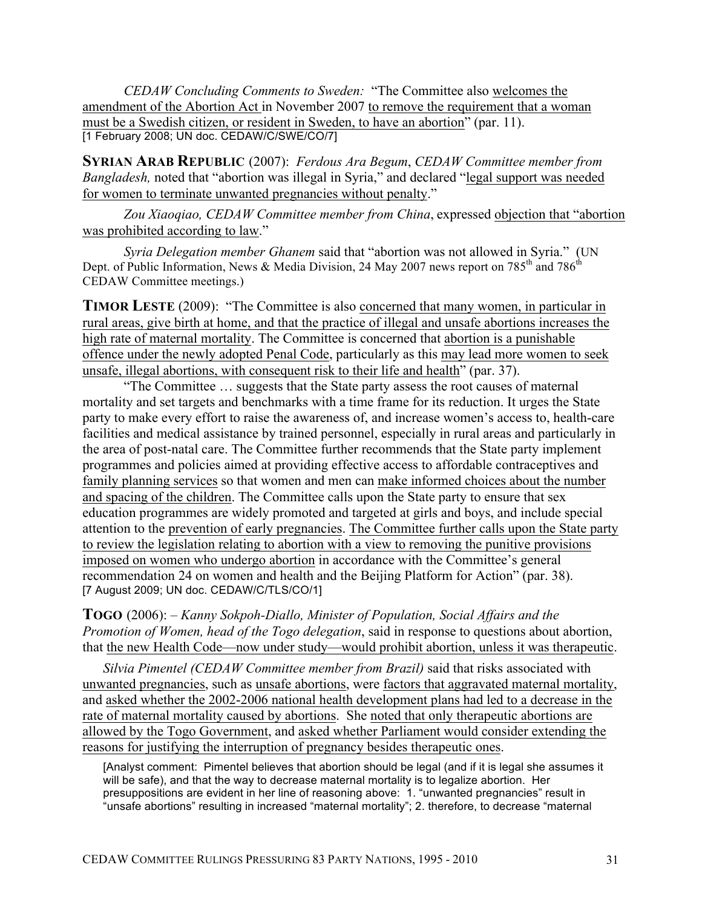*CEDAW Concluding Comments to Sweden:* "The Committee also welcomes the amendment of the Abortion Act in November 2007 to remove the requirement that a woman must be a Swedish citizen, or resident in Sweden, to have an abortion" (par. 11). [1 February 2008; UN doc. CEDAW/C/SWE/CO/7]

**SYRIAN ARAB REPUBLIC** (2007): *Ferdous Ara Begum*, *CEDAW Committee member from Bangladesh,* noted that "abortion was illegal in Syria," and declared "legal support was needed for women to terminate unwanted pregnancies without penalty."

*Zou Xiaoqiao, CEDAW Committee member from China*, expressed objection that "abortion was prohibited according to law."

*Syria Delegation member Ghanem* said that "abortion was not allowed in Syria." (UN Dept. of Public Information, News & Media Division, 24 May 2007 news report on 785<sup>th</sup> and 786<sup>th</sup> CEDAW Committee meetings.)

**TIMOR LESTE** (2009): "The Committee is also concerned that many women, in particular in rural areas, give birth at home, and that the practice of illegal and unsafe abortions increases the high rate of maternal mortality. The Committee is concerned that abortion is a punishable offence under the newly adopted Penal Code, particularly as this may lead more women to seek unsafe, illegal abortions, with consequent risk to their life and health" (par. 37).

"The Committee … suggests that the State party assess the root causes of maternal mortality and set targets and benchmarks with a time frame for its reduction. It urges the State party to make every effort to raise the awareness of, and increase women's access to, health-care facilities and medical assistance by trained personnel, especially in rural areas and particularly in the area of post-natal care. The Committee further recommends that the State party implement programmes and policies aimed at providing effective access to affordable contraceptives and family planning services so that women and men can make informed choices about the number and spacing of the children. The Committee calls upon the State party to ensure that sex education programmes are widely promoted and targeted at girls and boys, and include special attention to the prevention of early pregnancies. The Committee further calls upon the State party to review the legislation relating to abortion with a view to removing the punitive provisions imposed on women who undergo abortion in accordance with the Committee's general recommendation 24 on women and health and the Beijing Platform for Action" (par. 38). [7 August 2009; UN doc. CEDAW/C/TLS/CO/1]

**TOGO** (2006): – *Kanny Sokpoh-Diallo, Minister of Population, Social Affairs and the Promotion of Women, head of the Togo delegation*, said in response to questions about abortion, that the new Health Code—now under study—would prohibit abortion, unless it was therapeutic.

*Silvia Pimentel (CEDAW Committee member from Brazil)* said that risks associated with unwanted pregnancies, such as unsafe abortions, were factors that aggravated maternal mortality, and asked whether the 2002-2006 national health development plans had led to a decrease in the rate of maternal mortality caused by abortions. She noted that only therapeutic abortions are allowed by the Togo Government, and asked whether Parliament would consider extending the reasons for justifying the interruption of pregnancy besides therapeutic ones.

[Analyst comment: Pimentel believes that abortion should be legal (and if it is legal she assumes it will be safe), and that the way to decrease maternal mortality is to legalize abortion. Her presuppositions are evident in her line of reasoning above: 1. "unwanted pregnancies" result in "unsafe abortions" resulting in increased "maternal mortality"; 2. therefore, to decrease "maternal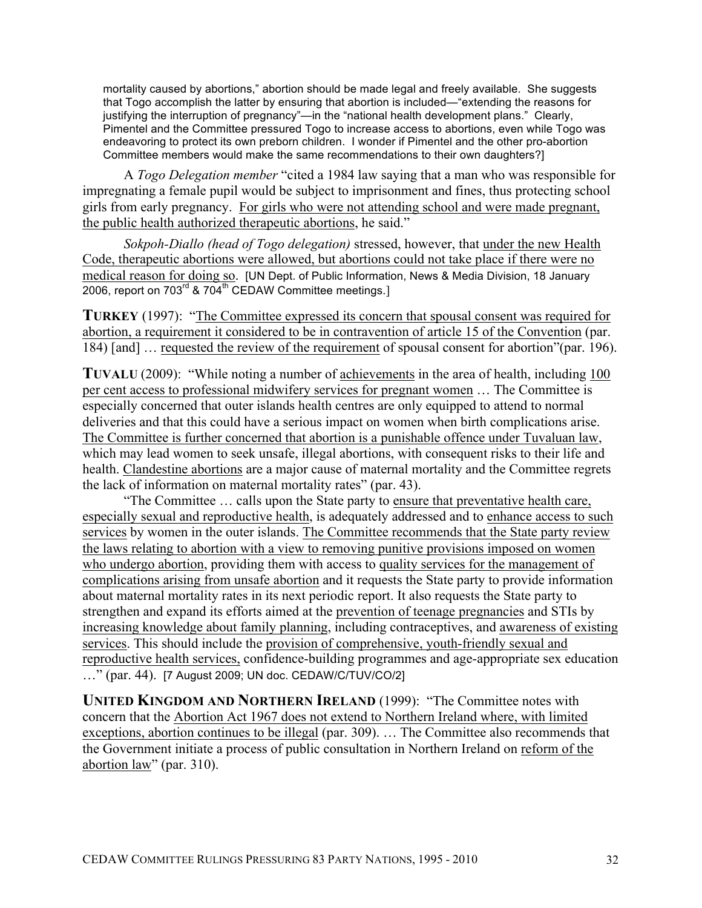mortality caused by abortions," abortion should be made legal and freely available. She suggests that Togo accomplish the latter by ensuring that abortion is included—"extending the reasons for justifying the interruption of pregnancy"—in the "national health development plans." Clearly, Pimentel and the Committee pressured Togo to increase access to abortions, even while Togo was endeavoring to protect its own preborn children. I wonder if Pimentel and the other pro-abortion Committee members would make the same recommendations to their own daughters?]

A *Togo Delegation member* "cited a 1984 law saying that a man who was responsible for impregnating a female pupil would be subject to imprisonment and fines, thus protecting school girls from early pregnancy. For girls who were not attending school and were made pregnant, the public health authorized therapeutic abortions, he said."

*Sokpoh-Diallo (head of Togo delegation)* stressed, however, that under the new Health Code, therapeutic abortions were allowed, but abortions could not take place if there were no medical reason for doing so. [UN Dept. of Public Information, News & Media Division, 18 January 2006, report on  $703^{\text{rd}}$  &  $704^{\text{th}}$  CEDAW Committee meetings.]

**TURKEY** (1997): "The Committee expressed its concern that spousal consent was required for abortion, a requirement it considered to be in contravention of article 15 of the Convention (par. 184) [and] … requested the review of the requirement of spousal consent for abortion"(par. 196).

**TUVALU** (2009): "While noting a number of achievements in the area of health, including 100 per cent access to professional midwifery services for pregnant women … The Committee is especially concerned that outer islands health centres are only equipped to attend to normal deliveries and that this could have a serious impact on women when birth complications arise. The Committee is further concerned that abortion is a punishable offence under Tuvaluan law, which may lead women to seek unsafe, illegal abortions, with consequent risks to their life and health. Clandestine abortions are a major cause of maternal mortality and the Committee regrets the lack of information on maternal mortality rates" (par. 43).

"The Committee … calls upon the State party to ensure that preventative health care, especially sexual and reproductive health, is adequately addressed and to enhance access to such services by women in the outer islands. The Committee recommends that the State party review the laws relating to abortion with a view to removing punitive provisions imposed on women who undergo abortion, providing them with access to quality services for the management of complications arising from unsafe abortion and it requests the State party to provide information about maternal mortality rates in its next periodic report. It also requests the State party to strengthen and expand its efforts aimed at the prevention of teenage pregnancies and STIs by increasing knowledge about family planning, including contraceptives, and awareness of existing services. This should include the provision of comprehensive, youth-friendly sexual and reproductive health services, confidence-building programmes and age-appropriate sex education ..." (par. 44). [7 August 2009; UN doc. CEDAW/C/TUV/CO/2]

**UNITED KINGDOM AND NORTHERN IRELAND** (1999): "The Committee notes with concern that the Abortion Act 1967 does not extend to Northern Ireland where, with limited exceptions, abortion continues to be illegal (par. 309). … The Committee also recommends that the Government initiate a process of public consultation in Northern Ireland on reform of the abortion law" (par. 310).